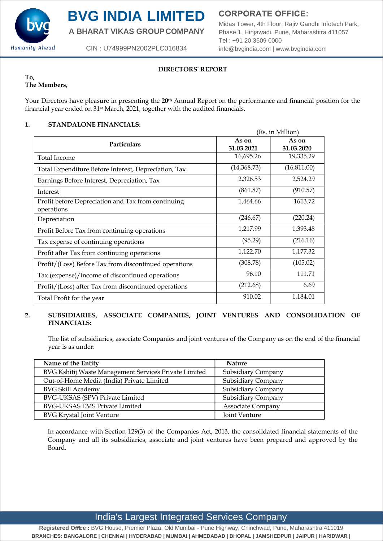

# **BVG INDIA LIMITED**

**A BHARAT VIKAS GROUPCOMPANY**

CIN : U74999PN2002PLC016834

**CORPORATE OFFICE:** 

Midas Tower, 4th Floor, Rajiv Gandhi Infotech Park, Phase 1, Hinjawadi, Pune, Maharashtra 411057 Tel : +91 20 3509 0000 [info@bvgindia.com](mailto:info@bvgindia.com) | [www.bvgindia.com](http://www.bvgindia.com/)

# **DIRECTORS' REPORT**

#### **To, The Members,**

Your Directors have pleasure in presenting the **20th** Annual Report on the performance and financial position for the financial year ended on 31st March, 2021, together with the audited financials.

# **1. STANDALONE FINANCIALS:**

| (Rs. in Million)                                                 |                     |                     |
|------------------------------------------------------------------|---------------------|---------------------|
| <b>Particulars</b>                                               | As on<br>31.03.2021 | As on<br>31.03.2020 |
| Total Income                                                     | 16,695.26           | 19,335.29           |
| Total Expenditure Before Interest, Depreciation, Tax             | (14,368.73)         | (16,811.00)         |
| Earnings Before Interest, Depreciation, Tax                      | 2,326.53            | 2,524.29            |
| Interest                                                         | (861.87)            | (910.57)            |
| Profit before Depreciation and Tax from continuing<br>operations | 1,464.66            | 1613.72             |
| Depreciation                                                     | (246.67)            | (220.24)            |
| Profit Before Tax from continuing operations                     | 1,217.99            | 1,393.48            |
| Tax expense of continuing operations                             | (95.29)             | (216.16)            |
| Profit after Tax from continuing operations                      | 1,122.70            | 1,177.32            |
| Profit/(Loss) Before Tax from discontinued operations            | (308.78)            | (105.02)            |
| Tax (expense)/income of discontinued operations                  | 96.10               | 111.71              |
| Profit/(Loss) after Tax from discontinued operations             | (212.68)            | 6.69                |
| Total Profit for the year                                        | 910.02              | 1,184.01            |

# **2. SUBSIDIARIES, ASSOCIATE COMPANIES, JOINT VENTURES AND CONSOLIDATION OF FINANCIALS:**

The list of subsidiaries, associate Companies and joint ventures of the Company as on the end of the financial year is as under:

| Name of the Entity                                    | <b>Nature</b>            |
|-------------------------------------------------------|--------------------------|
| BVG Kshitij Waste Management Services Private Limited | Subsidiary Company       |
| Out-of-Home Media (India) Private Limited             | Subsidiary Company       |
| <b>BVG Skill Academy</b>                              | Subsidiary Company       |
| BVG-UKSAS (SPV) Private Limited                       | Subsidiary Company       |
| <b>BVG-UKSAS EMS Private Limited</b>                  | <b>Associate Company</b> |
| <b>BVG Krystal Joint Venture</b>                      | Joint Venture            |

In accordance with Section 129(3) of the Companies Act, 2013, the consolidated financial statements of the Company and all its subsidiaries, associate and joint ventures have been prepared and approved by the Board.

# India's Largest Integrated Services Company

**Registered O**ffi**ce :** BVG House, Premier Plaza, Old Mumbai - Pune Highway, Chinchwad, Pune, Maharashtra 411019 **BRANCHES: BANGALORE | CHENNAI | HYDERABAD | MUMBAI | AHMEDABAD | BHOPAL | JAMSHEDPUR | JAIPUR | HARIDWAR |**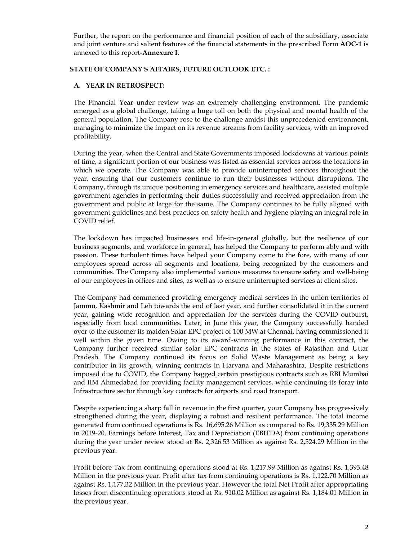Further, the report on the performance and financial position of each of the subsidiary, associate and joint venture and salient features of the financial statements in the prescribed Form **AOC-1** is annexed to this report-**Annexure I**.

#### **STATE OF COMPANY'S AFFAIRS, FUTURE OUTLOOK ETC. :**

#### **A. YEAR IN RETROSPECT:**

The Financial Year under review was an extremely challenging environment. The pandemic emerged as a global challenge, taking a huge toll on both the physical and mental health of the general population. The Company rose to the challenge amidst this unprecedented environment, managing to minimize the impact on its revenue streams from facility services, with an improved profitability.

During the year, when the Central and State Governments imposed lockdowns at various points of time, a significant portion of our business was listed as essential services across the locations in which we operate. The Company was able to provide uninterrupted services throughout the year, ensuring that our customers continue to run their businesses without disruptions. The Company, through its unique positioning in emergency services and healthcare, assisted multiple government agencies in performing their duties successfully and received appreciation from the government and public at large for the same. The Company continues to be fully aligned with government guidelines and best practices on safety health and hygiene playing an integral role in COVID relief.

The lockdown has impacted businesses and life-in-general globally, but the resilience of our business segments, and workforce in general, has helped the Company to perform ably and with passion. These turbulent times have helped your Company come to the fore, with many of our employees spread across all segments and locations, being recognized by the customers and communities. The Company also implemented various measures to ensure safety and well-being of our employees in offices and sites, as well as to ensure uninterrupted services at client sites.

The Company had commenced providing emergency medical services in the union territories of Jammu, Kashmir and Leh towards the end of last year, and further consolidated it in the current year, gaining wide recognition and appreciation for the services during the COVID outburst, especially from local communities. Later, in June this year, the Company successfully handed over to the customer its maiden Solar EPC project of 100 MW at Chennai, having commissioned it well within the given time. Owing to its award-winning performance in this contract, the Company further received similar solar EPC contracts in the states of Rajasthan and Uttar Pradesh. The Company continued its focus on Solid Waste Management as being a key contributor in its growth, winning contracts in Haryana and Maharashtra. Despite restrictions imposed due to COVID, the Company bagged certain prestigious contracts such as RBI Mumbai and IIM Ahmedabad for providing facility management services, while continuing its foray into Infrastructure sector through key contracts for airports and road transport.

Despite experiencing a sharp fall in revenue in the first quarter, your Company has progressively strengthened during the year, displaying a robust and resilient performance. The total income generated from continued operations is Rs. 16,695.26 Million as compared to Rs. 19,335.29 Million in 2019-20. Earnings before Interest, Tax and Depreciation (EBITDA) from continuing operations during the year under review stood at Rs. 2,326.53 Million as against Rs. 2,524.29 Million in the previous year.

Profit before Tax from continuing operations stood at Rs. 1,217.99 Million as against Rs. 1,393.48 Million in the previous year. Profit after tax from continuing operations is Rs. 1,122.70 Million as against Rs. 1,177.32 Million in the previous year. However the total Net Profit after appropriating losses from discontinuing operations stood at Rs. 910.02 Million as against Rs. 1,184.01 Million in the previous year.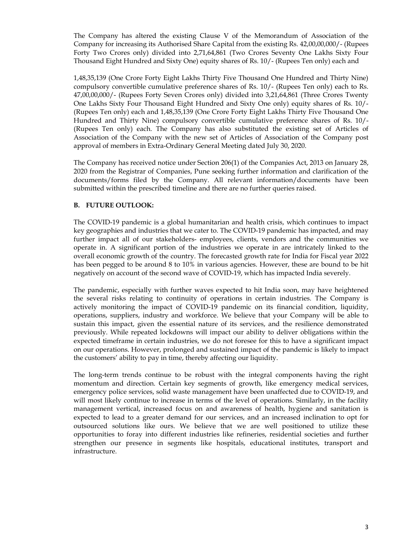The Company has altered the existing Clause V of the Memorandum of Association of the Company for increasing its Authorised Share Capital from the existing Rs. 42,00,00,000/- (Rupees Forty Two Crores only) divided into 2,71,64,861 (Two Crores Seventy One Lakhs Sixty Four Thousand Eight Hundred and Sixty One) equity shares of Rs. 10/- (Rupees Ten only) each and

1,48,35,139 (One Crore Forty Eight Lakhs Thirty Five Thousand One Hundred and Thirty Nine) compulsory convertible cumulative preference shares of Rs. 10/- (Rupees Ten only) each to Rs. 47,00,00,000/- (Rupees Forty Seven Crores only) divided into 3,21,64,861 (Three Crores Twenty One Lakhs Sixty Four Thousand Eight Hundred and Sixty One only) equity shares of Rs. 10/- (Rupees Ten only) each and 1,48,35,139 (One Crore Forty Eight Lakhs Thirty Five Thousand One Hundred and Thirty Nine) compulsory convertible cumulative preference shares of Rs. 10/- (Rupees Ten only) each. The Company has also substituted the existing set of Articles of Association of the Company with the new set of Articles of Association of the Company post approval of members in Extra-Ordinary General Meeting dated July 30, 2020.

The Company has received notice under Section 206(1) of the Companies Act, 2013 on January 28, 2020 from the Registrar of Companies, Pune seeking further information and clarification of the documents/forms filed by the Company. All relevant information/documents have been submitted within the prescribed timeline and there are no further queries raised.

#### **B. FUTURE OUTLOOK:**

The COVID-19 pandemic is a global humanitarian and health crisis, which continues to impact key geographies and industries that we cater to. The COVID-19 pandemic has impacted, and may further impact all of our stakeholders- employees, clients, vendors and the communities we operate in. A significant portion of the industries we operate in are intricately linked to the overall economic growth of the country. The forecasted growth rate for India for Fiscal year 2022 has been pegged to be around 8 to 10% in various agencies. However, these are bound to be hit negatively on account of the second wave of COVID-19, which has impacted India severely.

The pandemic, especially with further waves expected to hit India soon, may have heightened the several risks relating to continuity of operations in certain industries. The Company is actively monitoring the impact of COVID-19 pandemic on its financial condition, liquidity, operations, suppliers, industry and workforce. We believe that your Company will be able to sustain this impact, given the essential nature of its services, and the resilience demonstrated previously. While repeated lockdowns will impact our ability to deliver obligations within the expected timeframe in certain industries, we do not foresee for this to have a significant impact on our operations. However, prolonged and sustained impact of the pandemic is likely to impact the customers' ability to pay in time, thereby affecting our liquidity.

The long-term trends continue to be robust with the integral components having the right momentum and direction. Certain key segments of growth, like emergency medical services, emergency police services, solid waste management have been unaffected due to COVID-19, and will most likely continue to increase in terms of the level of operations. Similarly, in the facility management vertical, increased focus on and awareness of health, hygiene and sanitation is expected to lead to a greater demand for our services, and an increased inclination to opt for outsourced solutions like ours. We believe that we are well positioned to utilize these opportunities to foray into different industries like refineries, residential societies and further strengthen our presence in segments like hospitals, educational institutes, transport and infrastructure.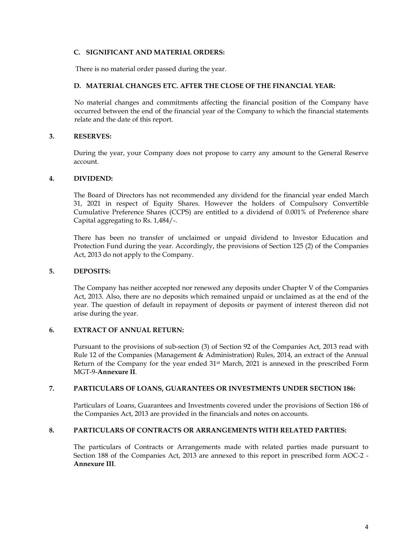#### **C. SIGNIFICANT AND MATERIAL ORDERS:**

There is no material order passed during the year.

#### **D. MATERIAL CHANGES ETC. AFTER THE CLOSE OF THE FINANCIAL YEAR:**

No material changes and commitments affecting the financial position of the Company have occurred between the end of the financial year of the Company to which the financial statements relate and the date of this report.

#### **3. RESERVES:**

During the year, your Company does not propose to carry any amount to the General Reserve account.

#### **4. DIVIDEND:**

The Board of Directors has not recommended any dividend for the financial year ended March 31, 2021 in respect of Equity Shares. However the holders of Compulsory Convertible Cumulative Preference Shares (CCPS) are entitled to a dividend of 0.001% of Preference share Capital aggregating to Rs. 1,484/-.

There has been no transfer of unclaimed or unpaid dividend to Investor Education and Protection Fund during the year. Accordingly, the provisions of Section 125 (2) of the Companies Act, 2013 do not apply to the Company.

#### **5. DEPOSITS:**

The Company has neither accepted nor renewed any deposits under Chapter V of the Companies Act, 2013. Also, there are no deposits which remained unpaid or unclaimed as at the end of the year. The question of default in repayment of deposits or payment of interest thereon did not arise during the year.

#### **6. EXTRACT OF ANNUAL RETURN:**

Pursuant to the provisions of sub-section (3) of Section 92 of the Companies Act, 2013 read with Rule 12 of the Companies (Management & Administration) Rules, 2014, an extract of the Annual Return of the Company for the year ended  $31<sup>st</sup>$  March, 2021 is annexed in the prescribed Form MGT-9-**Annexure II**.

#### **7. PARTICULARS OF LOANS, GUARANTEES OR INVESTMENTS UNDER SECTION 186:**

Particulars of Loans, Guarantees and Investments covered under the provisions of Section 186 of the Companies Act, 2013 are provided in the financials and notes on accounts.

#### **8. PARTICULARS OF CONTRACTS OR ARRANGEMENTS WITH RELATED PARTIES:**

The particulars of Contracts or Arrangements made with related parties made pursuant to Section 188 of the Companies Act, 2013 are annexed to this report in prescribed form AOC-2 - **Annexure III**.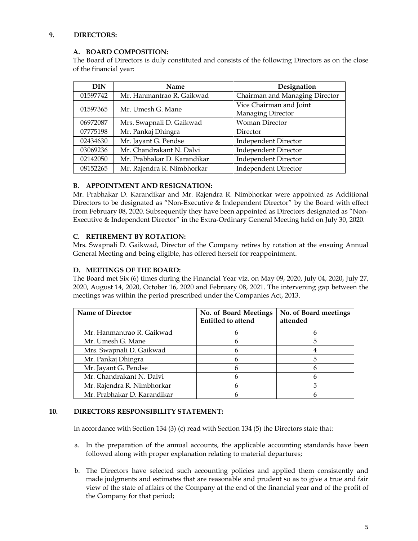### **9. DIRECTORS:**

### **A. BOARD COMPOSITION:**

The Board of Directors is duly constituted and consists of the following Directors as on the close of the financial year:

| <b>DIN</b> | <b>Name</b>                 | Designation                    |
|------------|-----------------------------|--------------------------------|
| 01597742   | Mr. Hanmantrao R. Gaikwad   | Chairman and Managing Director |
| 01597365   | Mr. Umesh G. Mane           | Vice Chairman and Joint        |
|            |                             | Managing Director              |
| 06972087   | Mrs. Swapnali D. Gaikwad    | Woman Director                 |
| 07775198   | Mr. Pankaj Dhingra          | Director                       |
| 02434630   | Mr. Jayant G. Pendse        | <b>Independent Director</b>    |
| 03069236   | Mr. Chandrakant N. Dalvi    | <b>Independent Director</b>    |
| 02142050   | Mr. Prabhakar D. Karandikar | <b>Independent Director</b>    |
| 08152265   | Mr. Rajendra R. Nimbhorkar  | <b>Independent Director</b>    |

# **B. APPOINTMENT AND RESIGNATION:**

Mr. Prabhakar D. Karandikar and Mr. Rajendra R. Nimbhorkar were appointed as Additional Directors to be designated as "Non-Executive & Independent Director" by the Board with effect from February 08, 2020. Subsequently they have been appointed as Directors designated as "Non-Executive & Independent Director" in the Extra-Ordinary General Meeting held on July 30, 2020.

# **C. RETIREMENT BY ROTATION:**

Mrs. Swapnali D. Gaikwad, Director of the Company retires by rotation at the ensuing Annual General Meeting and being eligible, has offered herself for reappointment.

# **D. MEETINGS OF THE BOARD:**

The Board met Six (6) times during the Financial Year viz. on May 09, 2020, July 04, 2020, July 27, 2020, August 14, 2020, October 16, 2020 and February 08, 2021. The intervening gap between the meetings was within the period prescribed under the Companies Act, 2013.

| <b>Name of Director</b>     | No. of Board Meetings<br><b>Entitled to attend</b> | No. of Board meetings<br>attended |
|-----------------------------|----------------------------------------------------|-----------------------------------|
| Mr. Hanmantrao R. Gaikwad   |                                                    |                                   |
| Mr. Umesh G. Mane           |                                                    |                                   |
| Mrs. Swapnali D. Gaikwad    |                                                    |                                   |
| Mr. Pankaj Dhingra          |                                                    | 5                                 |
| Mr. Jayant G. Pendse        |                                                    | n                                 |
| Mr. Chandrakant N. Dalvi    |                                                    |                                   |
| Mr. Rajendra R. Nimbhorkar  |                                                    | 5                                 |
| Mr. Prabhakar D. Karandikar |                                                    |                                   |

#### **10. DIRECTORS RESPONSIBILITY STATEMENT:**

In accordance with Section 134 (3) (c) read with Section 134 (5) the Directors state that:

- a. In the preparation of the annual accounts, the applicable accounting standards have been followed along with proper explanation relating to material departures;
- b. The Directors have selected such accounting policies and applied them consistently and made judgments and estimates that are reasonable and prudent so as to give a true and fair view of the state of affairs of the Company at the end of the financial year and of the profit of the Company for that period;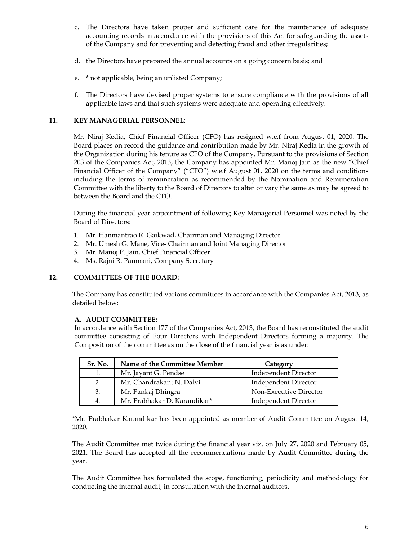- c. The Directors have taken proper and sufficient care for the maintenance of adequate accounting records in accordance with the provisions of this Act for safeguarding the assets of the Company and for preventing and detecting fraud and other irregularities;
- d. the Directors have prepared the annual accounts on a going concern basis; and
- e. \* not applicable, being an unlisted Company;
- f. The Directors have devised proper systems to ensure compliance with the provisions of all applicable laws and that such systems were adequate and operating effectively.

### **11. KEY MANAGERIAL PERSONNEL:**

Mr. Niraj Kedia, Chief Financial Officer (CFO) has resigned w.e.f from August 01, 2020. The Board places on record the guidance and contribution made by Mr. Niraj Kedia in the growth of the Organization during his tenure as CFO of the Company. Pursuant to the provisions of Section 203 of the Companies Act, 2013, the Company has appointed Mr. Manoj Jain as the new "Chief Financial Officer of the Company" ("CFO") w.e.f August 01, 2020 on the terms and conditions including the terms of remuneration as recommended by the Nomination and Remuneration Committee with the liberty to the Board of Directors to alter or vary the same as may be agreed to between the Board and the CFO.

During the financial year appointment of following Key Managerial Personnel was noted by the Board of Directors:

- 1. Mr. Hanmantrao R. Gaikwad, Chairman and Managing Director
- 2. Mr. Umesh G. Mane, Vice- Chairman and Joint Managing Director
- 3. Mr. Manoj P. Jain, Chief Financial Officer
- 4. Ms. Rajni R. Pamnani, Company Secretary

#### **12. COMMITTEES OF THE BOARD:**

The Company has constituted various committees in accordance with the Companies Act, 2013, as detailed below:

#### **A. AUDIT COMMITTEE:**

In accordance with Section 177 of the Companies Act, 2013, the Board has reconstituted the audit committee consisting of Four Directors with Independent Directors forming a majority. The Composition of the committee as on the close of the financial year is as under:

| Sr. No. | Name of the Committee Member | Category               |
|---------|------------------------------|------------------------|
|         | Mr. Jayant G. Pendse         | Independent Director   |
|         | Mr. Chandrakant N. Dalvi     | Independent Director   |
|         | Mr. Pankaj Dhingra           | Non-Executive Director |
|         | Mr. Prabhakar D. Karandikar* | Independent Director   |

\*Mr. Prabhakar Karandikar has been appointed as member of Audit Committee on August 14, 2020.

The Audit Committee met twice during the financial year viz. on July 27, 2020 and February 05, 2021. The Board has accepted all the recommendations made by Audit Committee during the year.

The Audit Committee has formulated the scope, functioning, periodicity and methodology for conducting the internal audit, in consultation with the internal auditors.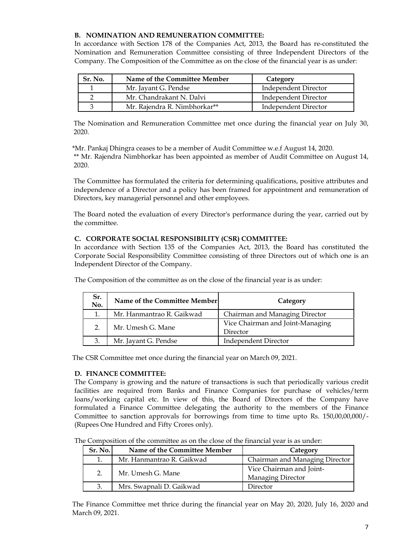### **B. NOMINATION AND REMUNERATION COMMITTEE:**

In accordance with Section 178 of the Companies Act, 2013, the Board has re-constituted the Nomination and Remuneration Committee consisting of three Independent Directors of the Company. The Composition of the Committee as on the close of the financial year is as under:

| Sr. No. | Name of the Committee Member | Category             |
|---------|------------------------------|----------------------|
|         | Mr. Jayant G. Pendse         | Independent Director |
|         | Mr. Chandrakant N. Dalvi     | Independent Director |
|         | Mr. Rajendra R. Nimbhorkar** | Independent Director |

The Nomination and Remuneration Committee met once during the financial year on July 30, 2020.

\*Mr. Pankaj Dhingra ceases to be a member of Audit Committee w.e.f August 14, 2020. \*\* Mr. Rajendra Nimbhorkar has been appointed as member of Audit Committee on August 14, 2020.

The Committee has formulated the criteria for determining qualifications, positive attributes and independence of a Director and a policy has been framed for appointment and remuneration of Directors, key managerial personnel and other employees.

The Board noted the evaluation of every Director's performance during the year, carried out by the committee.

#### **C. CORPORATE SOCIAL RESPONSIBILITY (CSR) COMMITTEE:**

In accordance with Section 135 of the Companies Act, 2013, the Board has constituted the Corporate Social Responsibility Committee consisting of three Directors out of which one is an Independent Director of the Company.

| Sr.<br>No. | Name of the Committee Member | Category                                     |
|------------|------------------------------|----------------------------------------------|
| 1.         | Mr. Hanmantrao R. Gaikwad    | Chairman and Managing Director               |
| 2.         | Mr. Umesh G. Mane            | Vice Chairman and Joint-Managing<br>Director |
| 3.         | Mr. Jayant G. Pendse         | <b>Independent Director</b>                  |

The Composition of the committee as on the close of the financial year is as under:

The CSR Committee met once during the financial year on March 09, 2021.

#### **D. FINANCE COMMITTEE:**

The Company is growing and the nature of transactions is such that periodically various credit facilities are required from Banks and Finance Companies for purchase of vehicles/term loans/working capital etc. In view of this, the Board of Directors of the Company have formulated a Finance Committee delegating the authority to the members of the Finance Committee to sanction approvals for borrowings from time to time upto Rs. 150,00,00,000/- (Rupees One Hundred and Fifty Crores only).

The Composition of the committee as on the close of the financial year is as under:

| Sr. No. | Name of the Committee Member | Category                                      |
|---------|------------------------------|-----------------------------------------------|
|         | Mr. Hanmantrao R. Gaikwad    | Chairman and Managing Director                |
|         | Mr. Umesh G. Mane            | Vice Chairman and Joint-<br>Managing Director |
|         | Mrs. Swapnali D. Gaikwad     | Director                                      |

The Finance Committee met thrice during the financial year on May 20, 2020, July 16, 2020 and March 09, 2021.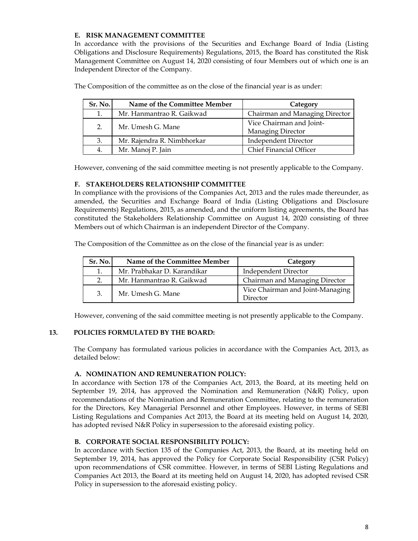# **E. RISK MANAGEMENT COMMITTEE**

In accordance with the provisions of the Securities and Exchange Board of India (Listing Obligations and Disclosure Requirements) Regulations, 2015, the Board has constituted the Risk Management Committee on August 14, 2020 consisting of four Members out of which one is an Independent Director of the Company.

| Sr. No. | Name of the Committee Member | Category                                      |
|---------|------------------------------|-----------------------------------------------|
| 1.      | Mr. Hanmantrao R. Gaikwad    | Chairman and Managing Director                |
| 2.      | Mr. Umesh G. Mane            | Vice Chairman and Joint-<br>Managing Director |
| 3.      | Mr. Rajendra R. Nimbhorkar   | <b>Independent Director</b>                   |
| 4.      | Mr. Manoj P. Jain            | Chief Financial Officer                       |

The Composition of the committee as on the close of the financial year is as under:

However, convening of the said committee meeting is not presently applicable to the Company.

#### **F. STAKEHOLDERS RELATIONSHIP COMMITTEE**

In compliance with the provisions of the Companies Act, 2013 and the rules made thereunder, as amended, the Securities and Exchange Board of India (Listing Obligations and Disclosure Requirements) Regulations, 2015, as amended, and the uniform listing agreements, the Board has constituted the Stakeholders Relationship Committee on August 14, 2020 consisting of three Members out of which Chairman is an independent Director of the Company.

The Composition of the Committee as on the close of the financial year is as under:

| Sr. No. | Name of the Committee Member | Category                                     |
|---------|------------------------------|----------------------------------------------|
|         | Mr. Prabhakar D. Karandikar  | Independent Director                         |
| 2.      | Mr. Hanmantrao R. Gaikwad    | Chairman and Managing Director               |
| 3.      | Mr. Umesh G. Mane            | Vice Chairman and Joint-Managing<br>Director |

However, convening of the said committee meeting is not presently applicable to the Company.

#### **13. POLICIES FORMULATED BY THE BOARD:**

The Company has formulated various policies in accordance with the Companies Act, 2013, as detailed below:

#### **A. NOMINATION AND REMUNERATION POLICY:**

In accordance with Section 178 of the Companies Act, 2013, the Board, at its meeting held on September 19, 2014, has approved the Nomination and Remuneration (N&R) Policy, upon recommendations of the Nomination and Remuneration Committee, relating to the remuneration for the Directors, Key Managerial Personnel and other Employees. However, in terms of SEBI Listing Regulations and Companies Act 2013, the Board at its meeting held on August 14, 2020, has adopted revised N&R Policy in supersession to the aforesaid existing policy.

#### **B. CORPORATE SOCIAL RESPONSIBILITY POLICY:**

In accordance with Section 135 of the Companies Act, 2013, the Board, at its meeting held on September 19, 2014, has approved the Policy for Corporate Social Responsibility (CSR Policy) upon recommendations of CSR committee. However, in terms of SEBI Listing Regulations and Companies Act 2013, the Board at its meeting held on August 14, 2020, has adopted revised CSR Policy in supersession to the aforesaid existing policy.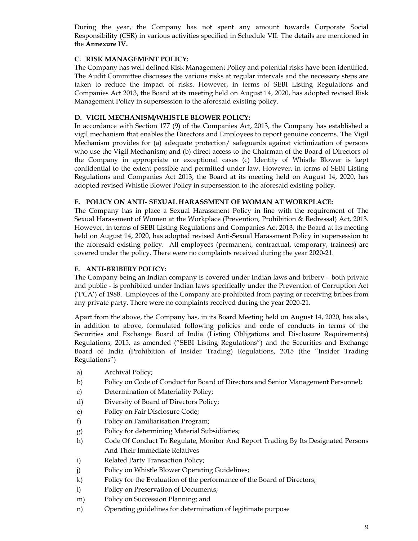During the year, the Company has not spent any amount towards Corporate Social Responsibility (CSR) in various activities specified in Schedule VII. The details are mentioned in the **Annexure IV.**

#### **C. RISK MANAGEMENT POLICY:**

The Company has well defined Risk Management Policy and potential risks have been identified. The Audit Committee discusses the various risks at regular intervals and the necessary steps are taken to reduce the impact of risks. However, in terms of SEBI Listing Regulations and Companies Act 2013, the Board at its meeting held on August 14, 2020, has adopted revised Risk Management Policy in supersession to the aforesaid existing policy.

#### **D. VIGIL MECHANISM/WHISTLE BLOWER POLICY:**

In accordance with Section 177 (9) of the Companies Act, 2013, the Company has established a vigil mechanism that enables the Directors and Employees to report genuine concerns. The Vigil Mechanism provides for (a) adequate protection/ safeguards against victimization of persons who use the Vigil Mechanism; and (b) direct access to the Chairman of the Board of Directors of the Company in appropriate or exceptional cases (c) Identity of Whistle Blower is kept confidential to the extent possible and permitted under law. However, in terms of SEBI Listing Regulations and Companies Act 2013, the Board at its meeting held on August 14, 2020, has adopted revised Whistle Blower Policy in supersession to the aforesaid existing policy.

#### **E. POLICY ON ANTI- SEXUAL HARASSMENT OF WOMAN AT WORKPLACE:**

The Company has in place a Sexual Harassment Policy in line with the requirement of The Sexual Harassment of Women at the Workplace (Prevention, Prohibition & Redressal) Act, 2013. However, in terms of SEBI Listing Regulations and Companies Act 2013, the Board at its meeting held on August 14, 2020, has adopted revised Anti-Sexual Harassment Policy in supersession to the aforesaid existing policy. All employees (permanent, contractual, temporary, trainees) are covered under the policy. There were no complaints received during the year 2020-21.

#### **F. ANTI-BRIBERY POLICY:**

The Company being an Indian company is covered under Indian laws and bribery – both private and public - is prohibited under Indian laws specifically under the Prevention of Corruption Act ('PCA') of 1988. Employees of the Company are prohibited from paying or receiving bribes from any private party. There were no complaints received during the year 2020-21.

Apart from the above, the Company has, in its Board Meeting held on August 14, 2020, has also, in addition to above, formulated following policies and code of conducts in terms of the Securities and Exchange Board of India (Listing Obligations and Disclosure Requirements) Regulations, 2015, as amended ("SEBI Listing Regulations") and the Securities and Exchange Board of India (Prohibition of Insider Trading) Regulations, 2015 (the "Insider Trading Regulations")

- a) Archival Policy;
- b) Policy on Code of Conduct for Board of Directors and Senior Management Personnel;
- c) Determination of Materiality Policy;
- d) Diversity of Board of Directors Policy;
- e) Policy on Fair Disclosure Code;
- f) Policy on Familiarisation Program;
- g) Policy for determining Material Subsidiaries;
- h) Code Of Conduct To Regulate, Monitor And Report Trading By Its Designated Persons And Their Immediate Relatives
- i) Related Party Transaction Policy;
- j) Policy on Whistle Blower Operating Guidelines;
- k) Policy for the Evaluation of the performance of the Board of Directors;
- l) Policy on Preservation of Documents;
- m) Policy on Succession Planning; and
- n) Operating guidelines for determination of legitimate purpose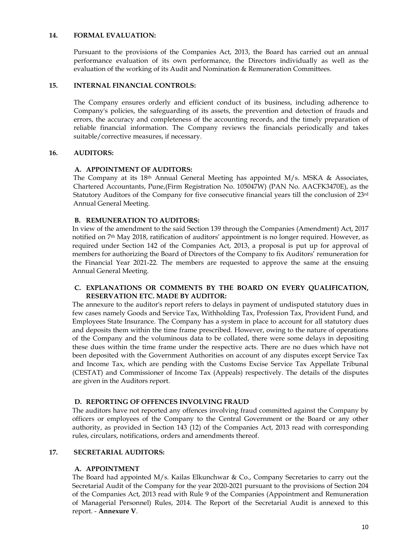#### **14. FORMAL EVALUATION:**

Pursuant to the provisions of the Companies Act, 2013, the Board has carried out an annual performance evaluation of its own performance, the Directors individually as well as the evaluation of the working of its Audit and Nomination & Remuneration Committees.

#### **15. INTERNAL FINANCIAL CONTROLS:**

The Company ensures orderly and efficient conduct of its business, including adherence to Company's policies, the safeguarding of its assets, the prevention and detection of frauds and errors, the accuracy and completeness of the accounting records, and the timely preparation of reliable financial information. The Company reviews the financials periodically and takes suitable/corrective measures, if necessary.

#### **16. AUDITORS:**

#### **A. APPOINTMENT OF AUDITORS:**

The Company at its  $18<sup>th</sup>$  Annual General Meeting has appointed M/s. MSKA & Associates, Chartered Accountants, Pune,(Firm Registration No. 105047W) (PAN No. AACFK3470E), as the Statutory Auditors of the Company for five consecutive financial years till the conclusion of 23rd Annual General Meeting.

#### **B. REMUNERATION TO AUDITORS:**

In view of the amendment to the said Section 139 through the Companies (Amendment) Act, 2017 notified on 7<sup>th</sup> May 2018, ratification of auditors' appointment is no longer required. However, as required under Section 142 of the Companies Act, 2013, a proposal is put up for approval of members for authorizing the Board of Directors of the Company to fix Auditors' remuneration for the Financial Year 2021-22. The members are requested to approve the same at the ensuing Annual General Meeting.

#### **C. EXPLANATIONS OR COMMENTS BY THE BOARD ON EVERY QUALIFICATION, RESERVATION ETC. MADE BY AUDITOR:**

The annexure to the auditor's report refers to delays in payment of undisputed statutory dues in few cases namely Goods and Service Tax, Withholding Tax, Profession Tax, Provident Fund, and Employees State Insurance. The Company has a system in place to account for all statutory dues and deposits them within the time frame prescribed. However, owing to the nature of operations of the Company and the voluminous data to be collated, there were some delays in depositing these dues within the time frame under the respective acts. There are no dues which have not been deposited with the Government Authorities on account of any disputes except Service Tax and Income Tax, which are pending with the Customs Excise Service Tax Appellate Tribunal (CESTAT) and Commissioner of Income Tax (Appeals) respectively. The details of the disputes are given in the Auditors report.

#### **D. REPORTING OF OFFENCES INVOLVING FRAUD**

The auditors have not reported any offences involving fraud committed against the Company by officers or employees of the Company to the Central Government or the Board or any other authority, as provided in Section 143 (12) of the Companies Act, 2013 read with corresponding rules, circulars, notifications, orders and amendments thereof.

#### **17. SECRETARIAL AUDITORS:**

#### **A. APPOINTMENT**

The Board had appointed  $M/s$ . Kailas Elkunchwar & Co., Company Secretaries to carry out the Secretarial Audit of the Company for the year 2020-2021 pursuant to the provisions of Section 204 of the Companies Act, 2013 read with Rule 9 of the Companies (Appointment and Remuneration of Managerial Personnel) Rules, 2014. The Report of the Secretarial Audit is annexed to this report. - **Annexure V**.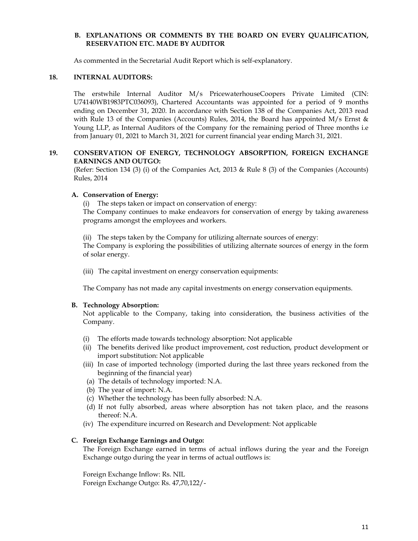#### **B. EXPLANATIONS OR COMMENTS BY THE BOARD ON EVERY QUALIFICATION, RESERVATION ETC. MADE BY AUDITOR**

As commented in the Secretarial Audit Report which is self-explanatory.

#### **18. INTERNAL AUDITORS:**

The erstwhile Internal Auditor M/s PricewaterhouseCoopers Private Limited (CIN: U74140WB1983PTC036093), Chartered Accountants was appointed for a period of 9 months ending on December 31, 2020. In accordance with Section 138 of the Companies Act, 2013 read with Rule 13 of the Companies (Accounts) Rules, 2014, the Board has appointed M/s Ernst & Young LLP, as Internal Auditors of the Company for the remaining period of Three months i.e from January 01, 2021 to March 31, 2021 for current financial year ending March 31, 2021.

#### **19. CONSERVATION OF ENERGY, TECHNOLOGY ABSORPTION, FOREIGN EXCHANGE EARNINGS AND OUTGO:**

(Refer: Section 134 (3) (i) of the Companies Act, 2013 & Rule 8 (3) of the Companies (Accounts) Rules, 2014

#### **A. Conservation of Energy:**

(i) The steps taken or impact on conservation of energy:

The Company continues to make endeavors for conservation of energy by taking awareness programs amongst the employees and workers.

(ii) The steps taken by the Company for utilizing alternate sources of energy: The Company is exploring the possibilities of utilizing alternate sources of energy in the form of solar energy.

(iii) The capital investment on energy conservation equipments:

The Company has not made any capital investments on energy conservation equipments.

#### **B. Technology Absorption:**

Not applicable to the Company, taking into consideration, the business activities of the Company.

- (i) The efforts made towards technology absorption: Not applicable
- (ii) The benefits derived like product improvement, cost reduction, product development or import substitution: Not applicable
- (iii) In case of imported technology (imported during the last three years reckoned from the beginning of the financial year)
- (a) The details of technology imported: N.A.
- (b) The year of import: N.A.
- (c) Whether the technology has been fully absorbed: N.A.
- (d) If not fully absorbed, areas where absorption has not taken place, and the reasons thereof: N.A.
- (iv) The expenditure incurred on Research and Development: Not applicable

#### **C. Foreign Exchange Earnings and Outgo:**

The Foreign Exchange earned in terms of actual inflows during the year and the Foreign Exchange outgo during the year in terms of actual outflows is:

Foreign Exchange Inflow: Rs. NIL Foreign Exchange Outgo: Rs. 47,70,122/-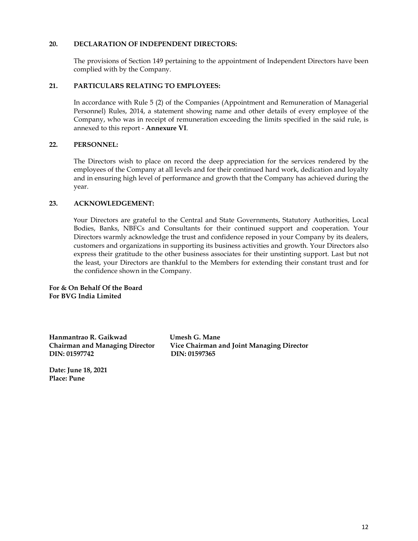#### **20. DECLARATION OF INDEPENDENT DIRECTORS:**

The provisions of Section 149 pertaining to the appointment of Independent Directors have been complied with by the Company.

#### **21. PARTICULARS RELATING TO EMPLOYEES:**

In accordance with Rule 5 (2) of the Companies (Appointment and Remuneration of Managerial Personnel) Rules, 2014, a statement showing name and other details of every employee of the Company, who was in receipt of remuneration exceeding the limits specified in the said rule, is annexed to this report - **Annexure VI**.

#### **22. PERSONNEL:**

The Directors wish to place on record the deep appreciation for the services rendered by the employees of the Company at all levels and for their continued hard work, dedication and loyalty and in ensuring high level of performance and growth that the Company has achieved during the year.

# **23. ACKNOWLEDGEMENT:**

Your Directors are grateful to the Central and State Governments, Statutory Authorities, Local Bodies, Banks, NBFCs and Consultants for their continued support and cooperation. Your Directors warmly acknowledge the trust and confidence reposed in your Company by its dealers, customers and organizations in supporting its business activities and growth. Your Directors also express their gratitude to the other business associates for their unstinting support. Last but not the least, your Directors are thankful to the Members for extending their constant trust and for the confidence shown in the Company.

**For & On Behalf Of the Board For BVG India Limited**

**Hanmantrao R. Gaikwad Umesh G. Mane DIN: 01597742 DIN: 01597365**

**Chairman and Managing Director Vice Chairman and Joint Managing Director**

**Date: June 18, 2021 Place: Pune**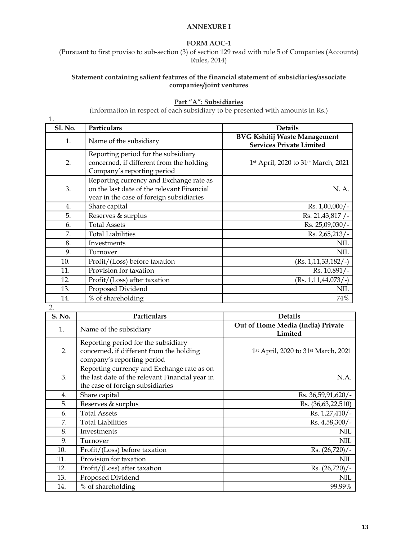#### **ANNEXURE I**

#### **FORM AOC-1**

(Pursuant to first proviso to sub-section (3) of section 129 read with rule 5 of Companies (Accounts) Rules, 2014)

### **Statement containing salient features of the financial statement of subsidiaries/associate companies/joint ventures**

# **Part "A": Subsidiaries**

(Information in respect of each subsidiary to be presented with amounts in Rs.)

| 1.               |                                                                                                                                   |                                                                        |
|------------------|-----------------------------------------------------------------------------------------------------------------------------------|------------------------------------------------------------------------|
| <b>Sl. No.</b>   | Particulars                                                                                                                       | <b>Details</b>                                                         |
| 1.               | Name of the subsidiary                                                                                                            | <b>BVG Kshitij Waste Management</b><br><b>Services Private Limited</b> |
| 2.               | Reporting period for the subsidiary<br>concerned, if different from the holding<br>Company's reporting period                     | 1 <sup>st</sup> April, 2020 to 31 <sup>st</sup> March, 2021            |
| 3.               | Reporting currency and Exchange rate as<br>on the last date of the relevant Financial<br>year in the case of foreign subsidiaries | N. A.                                                                  |
| $\overline{4}$ . | Share capital                                                                                                                     | Rs. 1,00,000/-                                                         |
| 5.               | Reserves & surplus                                                                                                                | Rs. 21,43,817 /-                                                       |
| 6.               | <b>Total Assets</b>                                                                                                               | Rs. 25,09,030/-                                                        |
| 7.               | <b>Total Liabilities</b>                                                                                                          | Rs. 2,65,213/-                                                         |
| 8.               | Investments                                                                                                                       | <b>NIL</b>                                                             |
| 9.               | Turnover                                                                                                                          | <b>NIL</b>                                                             |
| 10.              | Profit/(Loss) before taxation                                                                                                     | $(Rs. 1, 11, 33, 182/ -)$                                              |
| 11.              | Provision for taxation                                                                                                            | Rs. 10,891/-                                                           |
| 12.              | Profit/(Loss) after taxation                                                                                                      | $(Rs. 1, 11, 44, 073/$ -)                                              |
| 13.              | Proposed Dividend                                                                                                                 | <b>NIL</b>                                                             |
| 14.              | % of shareholding                                                                                                                 | 74%                                                                    |

2.

| S. No. | Particulars                                                                                                                       | <b>Details</b>                               |
|--------|-----------------------------------------------------------------------------------------------------------------------------------|----------------------------------------------|
| 1.     | Name of the subsidiary                                                                                                            | Out of Home Media (India) Private<br>Limited |
| 2.     | Reporting period for the subsidiary<br>concerned, if different from the holding<br>company's reporting period                     | 1st April, 2020 to 31st March, 2021          |
| 3.     | Reporting currency and Exchange rate as on<br>the last date of the relevant Financial year in<br>the case of foreign subsidiaries | N.A.                                         |
| 4.     | Share capital                                                                                                                     | Rs. 36,59,91,620/-                           |
| 5.     | Reserves & surplus                                                                                                                | Rs. (36,63,22,510)                           |
| 6.     | <b>Total Assets</b>                                                                                                               | Rs. 1,27,410/-                               |
| 7.     | <b>Total Liabilities</b>                                                                                                          | Rs. 4,58,300/-                               |
| 8.     | Investments                                                                                                                       | NIL                                          |
| 9.     | Turnover                                                                                                                          | <b>NIL</b>                                   |
| 10.    | Profit/(Loss) before taxation                                                                                                     | Rs. $(26,720)/-$                             |
| 11.    | Provision for taxation                                                                                                            | NIL                                          |
| 12.    | Profit/(Loss) after taxation                                                                                                      | $Rs. (26,720)$ /-                            |
| 13.    | Proposed Dividend                                                                                                                 | NIL                                          |
| 14.    | % of shareholding                                                                                                                 | 99.99%                                       |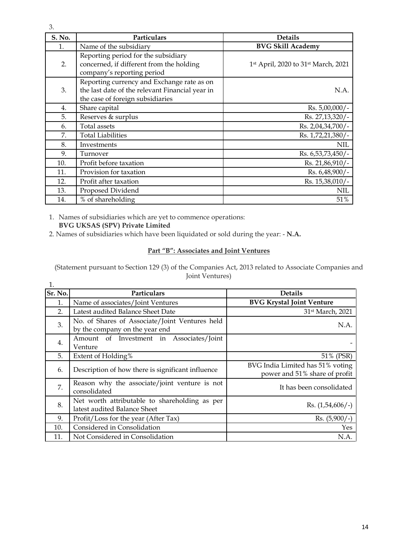| S. No. | Particulars                                                                                                                       | <b>Details</b>                      |
|--------|-----------------------------------------------------------------------------------------------------------------------------------|-------------------------------------|
| 1.     | Name of the subsidiary                                                                                                            | <b>BVG Skill Academy</b>            |
| 2.     | Reporting period for the subsidiary<br>concerned, if different from the holding<br>company's reporting period                     | 1st April, 2020 to 31st March, 2021 |
| 3.     | Reporting currency and Exchange rate as on<br>the last date of the relevant Financial year in<br>the case of foreign subsidiaries | N.A.                                |
| 4.     | Share capital                                                                                                                     | $Rs. 5,00,000/-$                    |
| 5.     | Reserves & surplus                                                                                                                | Rs. 27,13,320/-                     |
| 6.     | Total assets                                                                                                                      | Rs. 2,04,34,700/-                   |
| 7.     | <b>Total Liabilities</b>                                                                                                          | Rs. 1,72,21,380/-                   |
| 8.     | Investments                                                                                                                       | <b>NIL</b>                          |
| 9.     | Turnover                                                                                                                          | Rs. 6,53,73,450/                    |

11. Provision for taxation Rs. 6,48,900/-12. Profit after taxation Rs. 15,38,010/-13. Proposed Dividend NIL and Security 12. The Security of the NIL and Security 12. NIL and NIL and NIL and NIL 14. % of shareholding 51%

10. Profit before taxation Rs. 21,86,910/-

1. Names of subsidiaries which are yet to commence operations: **BVG UKSAS (SPV) Private Limited** 

2. Names of subsidiaries which have been liquidated or sold during the year: - **N.A.**

# **Part "B": Associates and Joint Ventures**

(Statement pursuant to Section 129 (3) of the Companies Act, 2013 related to Associate Companies and Joint Ventures)

| 1.      |                                                                                  |                                                                   |
|---------|----------------------------------------------------------------------------------|-------------------------------------------------------------------|
| Sr. No. | Particulars                                                                      | <b>Details</b>                                                    |
| 1.      | Name of associates/Joint Ventures                                                | <b>BVG Krystal Joint Venture</b>                                  |
| 2.      | Latest audited Balance Sheet Date                                                | 31st March, 2021                                                  |
| 3.      | No. of Shares of Associate/Joint Ventures held<br>by the company on the year end | N.A.                                                              |
| 4.      | Amount of Investment in Associates/Joint<br>Venture                              |                                                                   |
| 5.      | Extent of Holding%                                                               | 51% (PSR)                                                         |
| 6.      | Description of how there is significant influence                                | BVG India Limited has 51% voting<br>power and 51% share of profit |
| 7.      | Reason why the associate/joint venture is not<br>consolidated                    | It has been consolidated                                          |
| 8.      | Net worth attributable to shareholding as per<br>latest audited Balance Sheet    | $\text{Rs.}$ (1,54,606/-)                                         |
| 9.      | Profit/Loss for the year (After Tax)                                             | $Rs. (5,900/-)$                                                   |
| 10.     | Considered in Consolidation                                                      | Yes.                                                              |
| 11.     | Not Considered in Consolidation                                                  | N.A.                                                              |

3.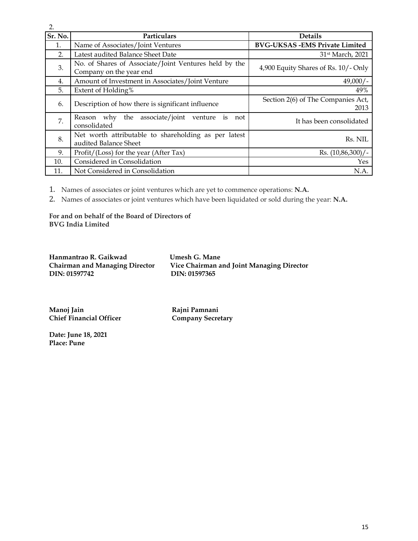| 2.      |                                                                                  |                                            |
|---------|----------------------------------------------------------------------------------|--------------------------------------------|
| Sr. No. | Particulars                                                                      | <b>Details</b>                             |
| 1.      | Name of Associates/Joint Ventures                                                | <b>BVG-UKSAS - EMS Private Limited</b>     |
| 2.      | Latest audited Balance Sheet Date                                                | 31 <sup>st</sup> March, 2021               |
| 3.      | No. of Shares of Associate/Joint Ventures held by the<br>Company on the year end | 4,900 Equity Shares of Rs. 10/- Only       |
| 4.      | Amount of Investment in Associates/Joint Venture                                 | $49,000/-$                                 |
| 5.      | Extent of Holding%                                                               | 49%                                        |
| 6.      | Description of how there is significant influence                                | Section 2(6) of The Companies Act,<br>2013 |
| 7.      | the associate/joint<br>Reason why<br>venture<br>is<br>not<br>consolidated        | It has been consolidated                   |
| 8.      | Net worth attributable to shareholding as per latest<br>audited Balance Sheet    | Rs. NIL                                    |
| 9.      | Profit/(Loss) for the year (After Tax)                                           | Rs. (10,86,300)/-                          |
| 10.     | Considered in Consolidation                                                      | Yes                                        |
| 11.     | Not Considered in Consolidation                                                  | N.A.                                       |

1. Names of associates or joint ventures which are yet to commence operations: **N.A.**

2. Names of associates or joint ventures which have been liquidated or sold during the year: **N.A.**

**For and on behalf of the Board of Directors of BVG India Limited**

**Hanmantrao R. Gaikwad Umesh G. Mane** DIN: 01597742

**Chairman and Managing Director Vice Chairman and Joint Managing Director**

**Manoj Jain Rajni Pamnani Chief Financial Officer** 

**Date: June 18, 2021 Place: Pune** 

15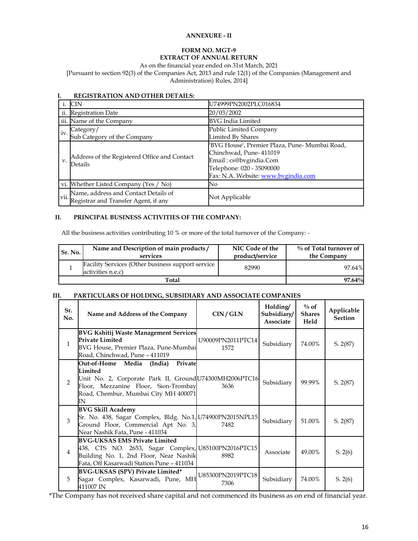#### **ANNEXURE - II**

### **FORM NO. MGT-9 EXTRACT OF ANNUAL RETURN**

#### As on the financial year ended on 31st March, 2021

[Pursuant to section 92(3) of the Companies Act, 2013 and rule 12(1) of the Companies (Management and Administration) Rules, 2014]

|    | <b>CIN</b>                                                                        | U74999PN2002PLC016834                                                                                                                                                   |
|----|-----------------------------------------------------------------------------------|-------------------------------------------------------------------------------------------------------------------------------------------------------------------------|
|    | ii. Registration Date                                                             | 20/03/2002                                                                                                                                                              |
|    | iii. Name of the Company                                                          | <b>BVG</b> India Limited                                                                                                                                                |
|    | Category/                                                                         | Public Limited Company                                                                                                                                                  |
|    | $\int$ iv. Sub Category of the Company                                            | Limited By Shares                                                                                                                                                       |
| v. | Address of the Registered Office and Contact<br>Details                           | 'BVG House', Premier Plaza, Pune- Mumbai Road,<br>Chinchwad, Pune- 411019<br>Email: cs@bvgindia.Com<br>Telephone: 020 - 35090000<br>Fax: N.A. Website: www.bvgindia.com |
|    | vi. Whether Listed Company (Yes / No)                                             | No                                                                                                                                                                      |
|    | Name, address and Contact Details of<br>Vii. Registrar and Transfer Agent, if any | Not Applicable                                                                                                                                                          |

#### **I. REGISTRATION AND OTHER DETAILS:**

#### **II. PRINCIPAL BUSINESS ACTIVITIES OF THE COMPANY:**

All the business activities contributing 10 % or more of the total turnover of the Company: -

| Sr. No. | Name and Description of main products/<br>services                     | NIC Code of the<br>product/service | $\%$ of Total turnover of<br>the Company |
|---------|------------------------------------------------------------------------|------------------------------------|------------------------------------------|
|         | Facility Services (Other business support service<br>activities n.e.c) | 82990                              | 97.64%                                   |
|         | Total                                                                  |                                    | $97.64\%$                                |

### **III. PARTICULARS OF HOLDING, SUBSIDIARY AND ASSOCIATE COMPANIES**

| Sr.<br>No.     | Name and Address of the Company                                                                                                                                                                     | CIN/GLN                   | Holding/<br>Subsidiary/<br><b>Associate</b> | $\%$ of<br><b>Shares</b><br>Held | Applicable<br><b>Section</b> |
|----------------|-----------------------------------------------------------------------------------------------------------------------------------------------------------------------------------------------------|---------------------------|---------------------------------------------|----------------------------------|------------------------------|
| $\mathbf{1}$   | <b>BVG Kshitij Waste Management Services</b><br><b>Private Limited</b><br>BVG House, Premier Plaza, Pune-Mumbai<br>Road, Chinchwad, Pune - 411019                                                   | U90009PN2011PTC14<br>1572 | Subsidiary                                  | 74.00%                           | S. 2(87)                     |
| $\mathcal{P}$  | Private<br>Out-of-Home Media<br>(India)<br>Limited<br>Unit No. 2, Corporate Park II, Ground U74300MH2006PTC16<br>Floor, Mezzanine Floor, Sion-Trombay<br>Road, Chembur, Mumbai City MH 400071<br>IN | 3636                      | Subsidiary                                  | 99.99%                           | S. 2(87)                     |
| 3              | <b>BVG Skill Academy</b><br>Sr. No. 438, Sagar Complex, Bldg. No.1, U74900PN2015NPL15<br>Ground Floor, Commercial Apt No. 3,<br>Near Nashik Fata, Pune - 411034                                     | 7482                      | Subsidiary                                  | 51.00%                           | S. 2(87)                     |
| $\overline{4}$ | <b>BVG-UKSAS EMS Private Limited</b><br>438, CTS NO. 2653, Sagar Complex, U85100PN2016PTC15<br>Building No. 1, 2nd Floor, Near Nashik<br>Fata, Off Kasarwadi Station Pune - 411034                  | 8982                      | Associate                                   | 49.00%                           | S. 2(6)                      |
| 5              | <b>BVG-UKSAS (SPV) Private Limited*</b><br>Sagar Complex, Kasarwadi, Pune, MH<br>411007 IN                                                                                                          | U85300PN2019PTC18<br>7306 | Subsidiary                                  | 74.00%                           | S. 2(6)                      |

\*The Company has not received share capital and not commenced its business as on end of financial year.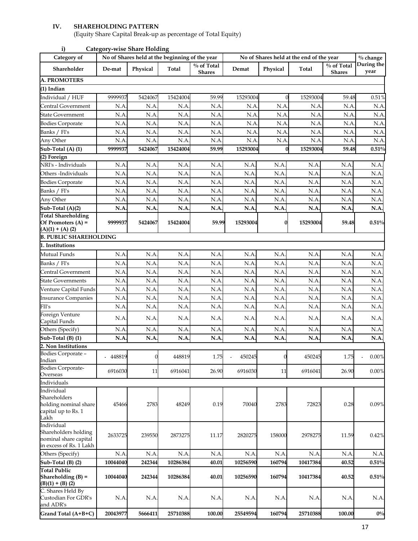# **IV. SHAREHOLDING PATTERN**

(Equity Share Capital Break-up as percentage of Total Equity)

| Category of                                                          |          |          | No of Shares held at the beginning of the year |                             |          | No of Shares held at the end of the year |          | $%$ change                  |                    |
|----------------------------------------------------------------------|----------|----------|------------------------------------------------|-----------------------------|----------|------------------------------------------|----------|-----------------------------|--------------------|
| Shareholder                                                          | De-mat   | Physical | Total                                          | % of Total<br><b>Shares</b> | Demat    | Physical                                 | Total    | % of Total<br><b>Shares</b> | During the<br>year |
| <b>A. PROMOTERS</b>                                                  |          |          |                                                |                             |          |                                          |          |                             |                    |
| (1) Indian                                                           |          |          |                                                |                             |          |                                          |          |                             |                    |
| Individual / HUF                                                     | 9999937  | 5424067  | 15424004                                       | 59.99                       | 15293004 |                                          | 15293004 | 59.48                       | 0.51%              |
| Central Government                                                   | N.A      | N.A      | N.A                                            | N.A                         | N.A      | N.A                                      | N.A.     | N.A                         | N.A                |
| State Government                                                     | N.A      | N.A      | N.A                                            | N.A                         | N.A      | N.A                                      | N.A      | N.A                         | N.A                |
| <b>Bodies Corporate</b>                                              | N.A      | N.A      | N.A                                            | N.A                         | N.A      | N.A                                      | N.A      | N.A                         | N.A                |
| Banks / FI's                                                         | N.A      | N.A      | N.A                                            | N.A                         | N.A      | N.A                                      | N.A      | N.A                         | N.A                |
| Any Other                                                            | N.A      | N.A      | N.A                                            | N.A                         | N.A      | N.A                                      | N.A      | N.A                         | N.A                |
| $\overline{\text{Sub-Total}}$ (A) (1)                                | 9999937  | 5424067  | 15424004                                       | 59.99                       | 15293004 |                                          | 15293004 | 59.48                       | $0.51\%$           |
| $\overline{(2)$ Foreign                                              |          |          |                                                |                             |          |                                          |          |                             |                    |
| NRI's - Individuals                                                  | N.A      | N.A      | N.A                                            | N.A                         | N.A      | N.A                                      | N.A      | N.A                         | N.A                |
| Others-Individuals                                                   | N.A      | N.A      | N.A                                            | N.A                         | N.A      | N.A                                      | N.A      | N.A                         | N.A                |
| <b>Bodies Corporate</b>                                              | N.A      | N.A      | N.A                                            | N.A                         | N.A      | N.A                                      | N.A      | N.A                         | N.A                |
| Banks / FI's                                                         | N.A      | N.A      | N.A                                            | N.A                         | N.A      | N.A                                      | N.A      | N.A                         | N.A                |
| Any Other                                                            | N.A      | N.A      | N.A                                            | N.A                         | N.A      | N.A                                      | N.A      | N.A                         | N.A                |
| Sub-Total (A)(2)                                                     | N.A      | N.A      | N.A                                            | N.A                         | N.A      | N.A.                                     | N.A.     | N.A                         | N.A                |
| <b>Total Shareholding</b><br>Of Promoters $(A)$ =                    | 9999937  | 5424067  | 15424004                                       | 59.99                       | 15293004 | 0                                        | 15293004 | 59.48                       | 0.51%              |
| $(A)(1) + (A)(2)$<br><b>B. PUBLIC SHAREHOLDING</b>                   |          |          |                                                |                             |          |                                          |          |                             |                    |
| 1. Institutions                                                      |          |          |                                                |                             |          |                                          |          |                             |                    |
|                                                                      |          |          |                                                |                             |          |                                          |          |                             |                    |
| Mutual Funds                                                         | N.A      | N.A      | N.A                                            | N.A                         | N.A      | N.A                                      | N.A      | N.A                         | N.A                |
| Banks / FI's                                                         | N.A      | N.A      | N.A                                            | N.A                         | N.A      | N.A                                      | N.A      | N.A                         | N.A                |
| Central Government                                                   | N.A      | N.A      | N.A                                            | N.A                         | N.A      | N.A                                      | N.A      | N.A                         | N.A                |
| <b>State Governments</b>                                             | N.A      | N.A      | N.A                                            | N.A                         | N.A      | N.A                                      | N.A      | N.A                         | N.A                |
| Venture Capital Funds                                                | N.A      | N.A      | N.A                                            | N.A                         | N.A      | N.A                                      | N.A      | N.A                         | N.A                |
| <b>Insurance Companies</b>                                           | N.A      | N.A      | N.A                                            | N.A                         | N.A      | N.A                                      | N.A      | N.A                         | N.A                |
| FII's                                                                | N.A      | N.A      | N.A                                            | N.A                         | N.A      | N.A                                      | N.A      | N.A                         | N.A                |
| Foreign Venture<br>Capital Funds                                     | N.A.     | N.A      | N.A.                                           | N.A                         | N.A      | N.A                                      | N.A      | N.A                         | N.A                |
| Others (Specify)                                                     | N.A      | N.A      | N.A                                            | N.A                         | N.A      | N.A                                      | N.A      | N.A                         | N.A                |
| Sub-Total (B) (1)                                                    | N.A      | N.A      | N.A                                            | N.A                         | N.A      | N.A                                      | N.A      | N.A                         | N.A                |
| 2. Non Institutions                                                  |          |          |                                                |                             |          |                                          |          |                             |                    |
| Bodies Corporate -<br>Indian                                         | 448819   |          | 448819                                         | 1.75                        | 450245   |                                          | 450245   | 1.75                        | 0.00%              |
| <b>Bodies Corporate-</b><br>Overseas                                 | 6916030  | 11       | 6916041                                        | 26.90                       | 6916030  | 11                                       | 6916041  | 26.90                       | 0.00%              |
| Individuals                                                          |          |          |                                                |                             |          |                                          |          |                             |                    |
| Individual                                                           |          |          |                                                |                             |          |                                          |          |                             |                    |
| Shareholders<br>holding nominal share<br>capital up to Rs. 1<br>Lakh | 45466    | 2783     | 48249                                          | 0.19                        | 70040    | 2783                                     | 72823    | 0.28                        | 0.09%              |
| Individual<br>Shareholders holding<br>nominal share capital          | 2633725  | 239550   | 2873275                                        | 11.17                       | 2820275  | 158000                                   | 2978275  | 11.59                       | 0.42%              |
| in excess of Rs. 1 Lakh<br>Others (Specify)                          | N.A.     | N.A      | N.A                                            | N.A                         | N.A      | N.A                                      | N.A      | N.A                         | N.A                |
|                                                                      | 10044040 | 242344   | 10286384                                       | 40.01                       | 10256590 | 160794                                   | 10417384 | 40.52                       | 0.51%              |
| Sub-Total (B) (2)<br><b>Total Public</b>                             |          |          |                                                |                             |          |                                          |          |                             |                    |
| Shareholding $(B)$ =<br>$(B)(1) + (B)(2)$                            | 10044040 | 242344   | 10286384                                       | 40.01                       | 10256590 | 160794                                   | 10417384 | 40.52                       | 0.51%              |
| C. Shares Held By<br>Custodian For GDR's<br>and ADR's                | N.A.     | N.A.     | N.A.                                           | N.A                         | N.A.     | N.A.                                     | N.A      | N.A                         | N.A.               |
| Grand Total (A+B+C)                                                  | 20043977 | 5666411  | 25710388                                       | 100.00                      | 25549594 | 160794                                   | 25710388 | 100.00                      | $0\%$              |

**i) Category-wise Share Holding**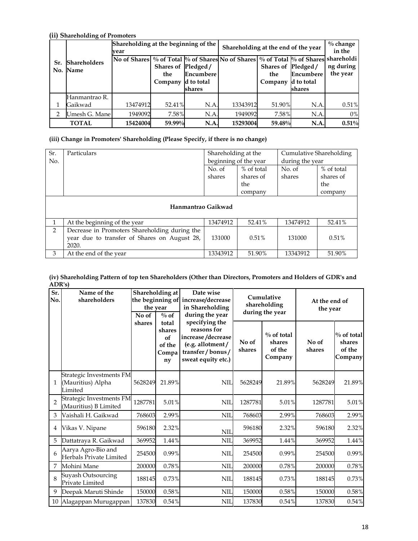#### **(ii) Shareholding of Promoters Sr. No. Name Shareholders Shareholding at the beginning of the**  Shareholding at the beginning of the **Shareholding at the end of the year**  $\begin{array}{c} \% \\ \% \\ \text{in the} \end{array}$ **in the shareholdi ng during the year No of Shares Shares of the Company d to total % of Shares Pledged / Encumbere shares**  $No$  of Shares **Shares of Pledged / the Company d to total % of Shares Encumbere shares** 1 Hanmantrao R. Gaikwad 13474912 52.41% N.A. 13343912 51.90% N.A. 0.51% 2 Umesh G. Mane  $\begin{array}{ccc} 1949092 & 7.58\% & \text{N.A.} & 1949092 & 7.58\% \end{array}$  N.A. 0% **TOTAL 15424004 59.99% N.A. 15293004 59.48% N.A. 0.51%**

#### **(iii) Change in Promoters' Shareholding (Please Specify, if there is no change)**

| Sr.<br>No.    | Particulars                                                                                            |                  | Shareholding at the<br>beginning of the year | Cumulative Shareholding<br>during the year |                                           |  |
|---------------|--------------------------------------------------------------------------------------------------------|------------------|----------------------------------------------|--------------------------------------------|-------------------------------------------|--|
|               |                                                                                                        | No. of<br>shares | % of total<br>shares of<br>the<br>company    | No. of<br>shares                           | % of total<br>shares of<br>the<br>company |  |
|               | Hanmantrao Gaikwad                                                                                     |                  |                                              |                                            |                                           |  |
|               | At the beginning of the year                                                                           | 13474912         | 52.41%                                       | 13474912                                   | 52.41%                                    |  |
| $\mathcal{P}$ | Decrease in Promoters Shareholding during the<br>year due to transfer of Shares on August 28,<br>2020. | 131000           | 0.51%                                        | 131000                                     | 0.51%                                     |  |
| 3             | At the end of the year                                                                                 | 13343912         | 51.90%                                       | 13343912                                   | 51.90%                                    |  |

#### **(iv) Shareholding Pattern of top ten Shareholders (Other than Directors, Promoters and Holders of GDR's and ADR's)**

| Sr.<br>No.     | Name of the<br>shareholders                              | No of   | Shareholding at<br>Date wise<br>the beginning of<br>increase/decrease<br>in Shareholding<br>the year<br>during the year<br>$\%$ of |                                                                                                                    |                 | Cumulative<br>shareholding<br>during the year | At the end of<br>the year |                                              |
|----------------|----------------------------------------------------------|---------|------------------------------------------------------------------------------------------------------------------------------------|--------------------------------------------------------------------------------------------------------------------|-----------------|-----------------------------------------------|---------------------------|----------------------------------------------|
|                |                                                          | shares  | total<br>shares<br>of<br>of the<br>Compa<br>ny                                                                                     | specifying the<br>reasons for<br>increase/decrease<br>(e.g. allotment/<br>transfer / bonus /<br>sweat equity etc.) | No of<br>shares | $\%$ of total<br>shares<br>of the<br>Company  | No of<br>shares           | $\%$ of total<br>shares<br>of the<br>Company |
| $\mathbf{1}$   | Strategic Investments FM<br>(Mauritius) Alpha<br>Limited | 5628249 | 21.89%                                                                                                                             | <b>NIL</b>                                                                                                         | 5628249         | 21.89%                                        | 5628249                   | 21.89%                                       |
| $\mathfrak{D}$ | Strategic Investments FM<br>(Mauritius) B Limited        | 1287781 | 5.01%                                                                                                                              | <b>NIL</b>                                                                                                         | 1287781         | 5.01%                                         | 1287781                   | 5.01%                                        |
| 3              | Vaishali H. Gaikwad                                      | 768603  | 2.99%                                                                                                                              | <b>NII</b>                                                                                                         | 768603          | 2.99%                                         | 768603                    | 2.99%                                        |
| 4              | Vikas V. Nipane                                          | 596180  | 2.32%                                                                                                                              | <b>NIL</b>                                                                                                         | 596180          | 2.32%                                         | 596180                    | 2.32%                                        |
| 5              | Dattatraya R. Gaikwad                                    | 369952  | 1.44%                                                                                                                              | <b>NII</b>                                                                                                         | 369952          | 1.44%                                         | 369952                    | 1.44%                                        |
| 6              | Aarya Agro-Bio and<br>Herbals Private Limited            | 254500  | 0.99%                                                                                                                              | <b>NIL</b>                                                                                                         | 254500          | 0.99%                                         | 254500                    | 0.99%                                        |
| 7              | Mohini Mane                                              | 200000  | 0.78%                                                                                                                              | <b>NII</b>                                                                                                         | 200000          | 0.78%                                         | 200000                    | 0.78%                                        |
| 8              | Suyash Outsourcing<br>Private Limited                    | 188145  | 0.73%                                                                                                                              | <b>NIL</b>                                                                                                         | 188145          | 0.73%                                         | 188145                    | 0.73%                                        |
| 9              | Deepak Maruti Shinde                                     | 150000  | 0.58%                                                                                                                              | <b>NIL</b>                                                                                                         | 150000          | 0.58%                                         | 150000                    | 0.58%                                        |
|                | 10 Alagappan Murugappan                                  | 137830  | 0.54%                                                                                                                              | <b>NII</b>                                                                                                         | 137830          | 0.54%                                         | 137830                    | 0.54%                                        |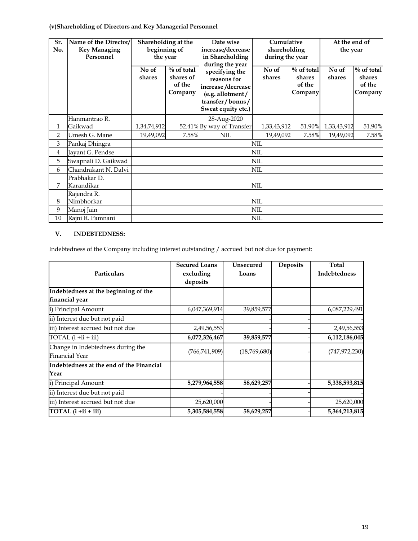# **(v)Shareholding of Directors and Key Managerial Personnel**

| Sr.<br>No.     | Name of the Director/<br><b>Key Managing</b><br>Personnel | the year        | Shareholding at the<br>beginning of             | Date wise<br>increase/decrease<br>in Shareholding<br>during the year                                            | Cumulative<br>shareholding<br>during the year |                                              | At the end of<br>the year |                                              |
|----------------|-----------------------------------------------------------|-----------------|-------------------------------------------------|-----------------------------------------------------------------------------------------------------------------|-----------------------------------------------|----------------------------------------------|---------------------------|----------------------------------------------|
|                |                                                           | No of<br>shares | $\%$ of total<br>shares of<br>of the<br>Company | specifying the<br>reasons for<br>increase/decrease<br>(e.g. allotment/<br>transfer/bonus/<br>Sweat equity etc.) | No of<br>shares                               | $\%$ of total<br>shares<br>of the<br>Company | No of<br>shares           | $\%$ of total<br>shares<br>of the<br>Company |
|                | Hanmantrao R.                                             |                 |                                                 | 28-Aug-2020                                                                                                     |                                               |                                              |                           |                                              |
| 1              | Gaikwad                                                   | 1,34,74,912     |                                                 | 52.41% By way of Transfer                                                                                       | 1,33,43,912                                   | 51.90%                                       | 1,33,43,912               | 51.90%                                       |
| $\overline{2}$ | Umesh G. Mane                                             | 19,49,092       | 7.58%                                           | <b>NIL</b>                                                                                                      | 19,49,092                                     | 7.58%                                        | 19,49,092                 | 7.58%                                        |
| 3              | Pankaj Dhingra                                            |                 |                                                 |                                                                                                                 | <b>NIL</b>                                    |                                              |                           |                                              |
| $\overline{4}$ | Jayant G. Pendse                                          |                 |                                                 |                                                                                                                 | <b>NIL</b>                                    |                                              |                           |                                              |
| 5              | Swapnali D. Gaikwad                                       |                 |                                                 |                                                                                                                 | <b>NIL</b>                                    |                                              |                           |                                              |
| 6              | Chandrakant N. Dalvi                                      |                 |                                                 |                                                                                                                 | <b>NIL</b>                                    |                                              |                           |                                              |
| 7              | Prabhakar D.<br>Karandikar                                |                 | <b>NIL</b>                                      |                                                                                                                 |                                               |                                              |                           |                                              |
| 8              | Rajendra R.<br>Nimbhorkar                                 | <b>NIL</b>      |                                                 |                                                                                                                 |                                               |                                              |                           |                                              |
| 9              | Manoj Jain                                                |                 |                                                 |                                                                                                                 | <b>NIL</b>                                    |                                              |                           |                                              |
| 10             | Rajni R. Pamnani                                          |                 |                                                 |                                                                                                                 | <b>NIL</b>                                    |                                              |                           |                                              |

#### **V. INDEBTEDNESS:**

Indebtedness of the Company including interest outstanding / accrued but not due for payment:

|                                          | <b>Secured Loans</b> | Unsecured    | <b>Deposits</b> | Total               |
|------------------------------------------|----------------------|--------------|-----------------|---------------------|
| Particulars                              | excluding            | Loans        |                 | <b>Indebtedness</b> |
|                                          | deposits             |              |                 |                     |
| Indebtedness at the beginning of the     |                      |              |                 |                     |
| financial year                           |                      |              |                 |                     |
| i) Principal Amount                      | 6,047,369,914        | 39,859,577   |                 | 6,087,229,491       |
| ii) Interest due but not paid            |                      |              |                 |                     |
| iii) Interest accrued but not due        | 2,49,56,553          |              |                 | 2,49,56,553         |
| TOTAL $(i + ii + iii)$                   | 6,072,326,467        | 39,859,577   |                 | 6,112,186,045       |
| Change in Indebtedness during the        | (766, 741, 909)      | (18,769,680) |                 |                     |
| Financial Year                           |                      |              |                 | (747, 972, 230)     |
| Indebtedness at the end of the Financial |                      |              |                 |                     |
| Year                                     |                      |              |                 |                     |
| i) Principal Amount                      | 5,279,964,558        | 58,629,257   |                 | 5,338,593,815       |
| ii) Interest due but not paid            |                      |              |                 |                     |
| iii) Interest accrued but not due        | 25,620,000           |              |                 | 25,620,000          |
| TOTAL (i +ii + iii)                      | 5,305,584,558        | 58,629,257   |                 | 5,364,213,815       |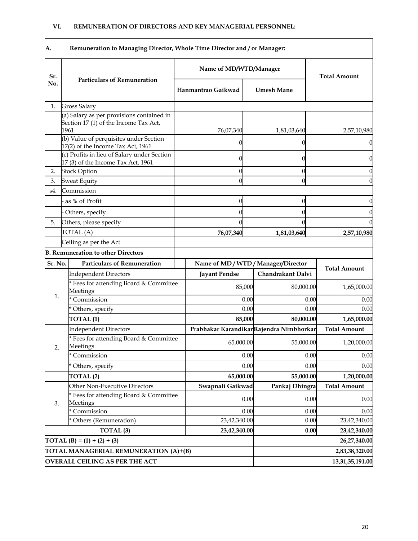| A.      | Remuneration to Managing Director, Whole Time Director and / or Manager:                   |                        |                |                                         |                      |  |
|---------|--------------------------------------------------------------------------------------------|------------------------|----------------|-----------------------------------------|----------------------|--|
| Sr.     |                                                                                            | Name of MD/WTD/Manager |                |                                         | <b>Total Amount</b>  |  |
| No.     | <b>Particulars of Remuneration</b>                                                         | Hanmantrao Gaikwad     |                | <b>Umesh Mane</b>                       |                      |  |
| 1.      | <b>Gross Salary</b>                                                                        |                        |                |                                         |                      |  |
|         | (a) Salary as per provisions contained in<br>Section 17 (1) of the Income Tax Act,<br>1961 | 76,07,340              |                | 1,81,03,640                             | 2,57,10,980          |  |
|         | (b) Value of perquisites under Section<br>17(2) of the Income Tax Act, 1961                |                        |                |                                         |                      |  |
|         | (c) Profits in lieu of Salary under Section<br>17 (3) of the Income Tax Act, 1961          |                        | 0              |                                         | 0                    |  |
| 2.      | <b>Stock Option</b>                                                                        |                        | 0              |                                         |                      |  |
| 3.      | <b>Sweat Equity</b>                                                                        |                        | 0              |                                         | 0                    |  |
| s4.     | Commission                                                                                 |                        |                |                                         |                      |  |
|         | as % of Profit                                                                             |                        | C              |                                         |                      |  |
|         | Others, specify                                                                            |                        |                |                                         |                      |  |
| 5.      | Others, please specify                                                                     |                        |                |                                         |                      |  |
|         | TOTAL(A)                                                                                   | 76,07,340              |                | 1,81,03,640                             | 2,57,10,980          |  |
|         | Ceiling as per the Act                                                                     |                        |                |                                         |                      |  |
|         | <b>B. Remuneration to other Directors</b>                                                  |                        |                |                                         |                      |  |
| Sr. No. | <b>Particulars of Remuneration</b>                                                         |                        |                | Name of MD/WTD/Manager/Director         |                      |  |
|         | <b>Independent Directors</b>                                                               | <b>Jayant Pendse</b>   |                | Chandrakant Dalvi                       | <b>Total Amount</b>  |  |
|         | Fees for attending Board & Committee<br>Meetings                                           |                        | 85,000         | 80,000.00                               | 1,65,000.00          |  |
| 1.      | Commission                                                                                 |                        | 0.00           |                                         | 0.00<br>0.00         |  |
|         | Others, specify                                                                            |                        | 0.00           |                                         | 0.00<br>0.00         |  |
|         | TOTAL <sub>(1)</sub>                                                                       |                        | 85,000         | 80,000.00                               | 1,65,000.00          |  |
|         | <b>Independent Directors</b>                                                               |                        |                | Prabhakar KarandikarRajendra Nimbhorkar | <b>Total Amount</b>  |  |
|         | * Fees for attending Board & Committee                                                     |                        | 65,000.00      | 55,000.00                               | 1,20,000.00          |  |
| 2.      | <b>Meetings</b><br>Commission                                                              |                        | 0.00           |                                         | 0.00<br>0.00         |  |
|         | * Others, specify                                                                          |                        | 0.00           |                                         | 0.00<br>0.00         |  |
|         | TOTAL <sub>(2)</sub>                                                                       |                        | 65,000.00      | 55,000.00                               | 1,20,000.00          |  |
|         | Other Non-Executive Directors                                                              | Swapnali Gaikwad       |                | Pankaj Dhingra                          | <b>Total Amount</b>  |  |
|         | Fees for attending Board & Committee                                                       |                        |                |                                         |                      |  |
| 3.      | Meetings                                                                                   |                        | 0.00           |                                         | 0.00<br>0.00         |  |
|         | Commission                                                                                 |                        | 0.00           |                                         | 0.00<br>0.00         |  |
|         | Others (Remuneration)                                                                      | 23,42,340.00           |                |                                         | 23,42,340.00<br>0.00 |  |
|         | TOTAL <sub>(3)</sub>                                                                       | 23,42,340.00           |                |                                         | 0.00<br>23,42,340.00 |  |
|         | TOTAL (B) = $(1) + (2) + (3)$                                                              |                        |                |                                         | 26,27,340.00         |  |
|         | TOTAL MANAGERIAL REMUNERATION (A)+(B)                                                      |                        | 2,83,38,320.00 |                                         |                      |  |
|         | <b>OVERALL CEILING AS PER THE ACT</b>                                                      |                        |                |                                         | 13,31,35,191.00      |  |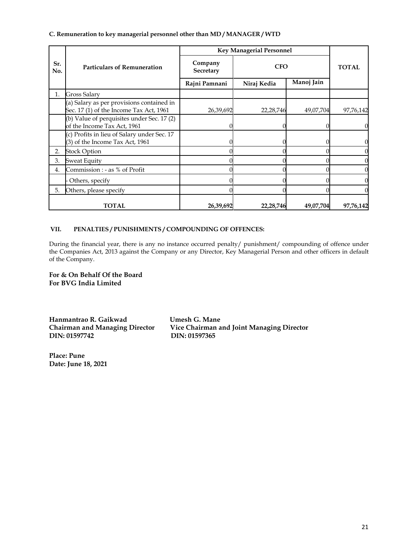**C. Remuneration to key managerial personnel other than MD / MANAGER / WTD**

|            |                                                                                      | <b>Key Managerial Personnel</b> |             |            |              |
|------------|--------------------------------------------------------------------------------------|---------------------------------|-------------|------------|--------------|
| Sr.<br>No. | <b>Particulars of Remuneration</b>                                                   | Company<br>Secretary            | <b>CFO</b>  |            | <b>TOTAL</b> |
|            |                                                                                      | Rajni Pamnani                   | Niraj Kedia | Manoj Jain |              |
| 1.         | Gross Salary                                                                         |                                 |             |            |              |
|            | (a) Salary as per provisions contained in<br>Sec. 17 (1) of the Income Tax Act, 1961 | 26,39,692                       | 22,28,746   | 49,07,704  | 97,76,142    |
|            | (b) Value of perquisites under Sec. 17 (2)<br>of the Income Tax Act, 1961            |                                 |             |            |              |
|            | (c) Profits in lieu of Salary under Sec. 17<br>(3) of the Income Tax Act, 1961       |                                 |             |            |              |
| 2.         | <b>Stock Option</b>                                                                  |                                 |             |            |              |
| 3.         | <b>Sweat Equity</b>                                                                  |                                 |             |            |              |
| 4.         | Commission : - as % of Profit                                                        |                                 |             |            |              |
|            | Others, specify                                                                      |                                 |             |            |              |
| 5.         | Others, please specify                                                               |                                 |             |            |              |
|            | <b>TOTAL</b>                                                                         | 26,39,692                       | 22,28,746   | 49,07,704  | 97,76,142    |

#### **VII. PENALTIES / PUNISHMENTS / COMPOUNDING OF OFFENCES:**

During the financial year, there is any no instance occurred penalty/ punishment/ compounding of offence under the Companies Act, 2013 against the Company or any Director, Key Managerial Person and other officers in default of the Company.

**For & On Behalf Of the Board For BVG India Limited**

**Hanmantrao R. Gaikwad Umesh G. Mane DIN: 01597742 DIN: 01597365**

**Vice Chairman and Joint Managing Director** 

**Place: Pune Date: June 18, 2021**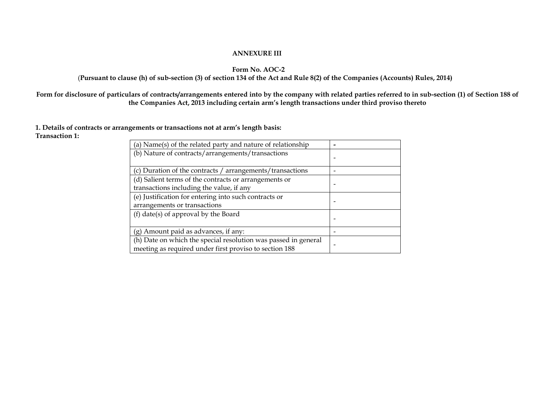#### **ANNEXURE III**

#### **Form No. AOC-2**

#### (**Pursuant to clause (h) of sub-section (3) of section 134 of the Act and Rule 8(2) of the Companies (Accounts) Rules, 2014)**

**Form for disclosure of particulars of contracts/arrangements entered into by the company with related parties referred to in sub-section (1) of Section 188 of the Companies Act, 2013 including certain arm's length transactions under third proviso thereto**

**1. Details of contracts or arrangements or transactions not at arm's length basis: Transaction 1:** 

| (a) Name(s) of the related party and nature of relationship                                                              |  |
|--------------------------------------------------------------------------------------------------------------------------|--|
| (b) Nature of contracts/arrangements/transactions                                                                        |  |
| (c) Duration of the contracts / arrangements/transactions                                                                |  |
| (d) Salient terms of the contracts or arrangements or<br>transactions including the value, if any                        |  |
| (e) Justification for entering into such contracts or<br>arrangements or transactions                                    |  |
| (f) date(s) of approval by the Board                                                                                     |  |
| $(g)$ Amount paid as advances, if any:                                                                                   |  |
| (h) Date on which the special resolution was passed in general<br>meeting as required under first proviso to section 188 |  |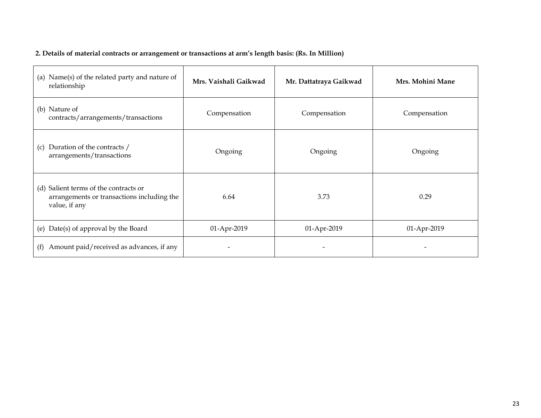# **2. Details of material contracts or arrangement or transactions at arm's length basis: (Rs. In Million)**

| (a) Name(s) of the related party and nature of<br>relationship                                          | Mrs. Vaishali Gaikwad | Mr. Dattatraya Gaikwad | Mrs. Mohini Mane |
|---------------------------------------------------------------------------------------------------------|-----------------------|------------------------|------------------|
| (b) Nature of<br>contracts/arrangements/transactions                                                    | Compensation          | Compensation           | Compensation     |
| Duration of the contracts /<br>(c)<br>arrangements/transactions                                         | Ongoing               | Ongoing                | Ongoing          |
| Salient terms of the contracts or<br>(d)<br>arrangements or transactions including the<br>value, if any | 6.64                  | 3.73                   | 0.29             |
| (e) Date(s) of approval by the Board                                                                    | 01-Apr-2019           | 01-Apr-2019            | 01-Apr-2019      |
| Amount paid/received as advances, if any<br>(f)                                                         |                       |                        |                  |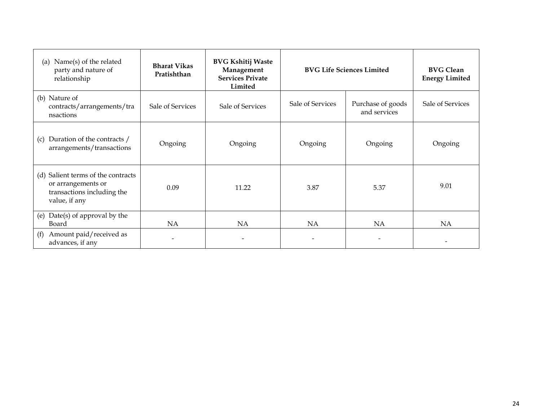| Name(s) of the related<br>(a)<br>party and nature of<br>relationship                                       | <b>Bharat Vikas</b><br>Pratishthan | <b>BVG Kshitij Waste</b><br>Management<br><b>Services Private</b><br>Limited | <b>BVG Life Sciences Limited</b> |                                   | <b>BVG Clean</b><br><b>Energy Limited</b> |
|------------------------------------------------------------------------------------------------------------|------------------------------------|------------------------------------------------------------------------------|----------------------------------|-----------------------------------|-------------------------------------------|
| (b) Nature of<br>contracts/arrangements/tra<br>nsactions                                                   | Sale of Services                   | Sale of Services                                                             | Sale of Services                 | Purchase of goods<br>and services | Sale of Services                          |
| Duration of the contracts /<br>(c)<br>arrangements/transactions                                            | Ongoing                            | Ongoing                                                                      | Ongoing                          | Ongoing                           | Ongoing                                   |
| Salient terms of the contracts<br>(d)<br>or arrangements or<br>transactions including the<br>value, if any | 0.09                               | 11.22                                                                        | 3.87                             | 5.37                              | 9.01                                      |
| Date(s) of approval by the<br>(e)<br>Board                                                                 | <b>NA</b>                          | <b>NA</b>                                                                    | <b>NA</b>                        | NA                                | <b>NA</b>                                 |
| Amount paid/received as<br>(f)<br>advances, if any                                                         |                                    |                                                                              |                                  |                                   |                                           |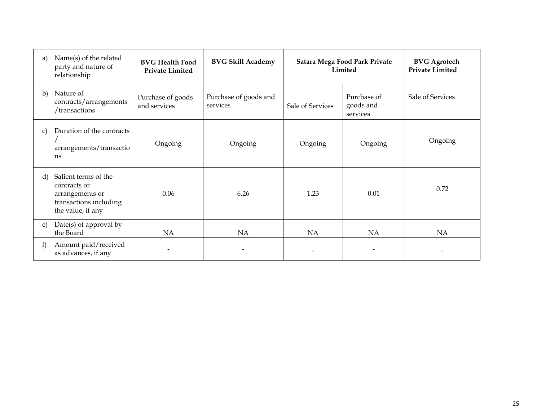| a) | Name(s) of the related<br>party and nature of<br>relationship                                          | <b>BVG Health Food</b><br><b>Private Limited</b> | <b>BVG Skill Academy</b>          | Satara Mega Food Park Private<br>Limited |                                      | <b>BVG</b> Agrotech<br><b>Private Limited</b> |
|----|--------------------------------------------------------------------------------------------------------|--------------------------------------------------|-----------------------------------|------------------------------------------|--------------------------------------|-----------------------------------------------|
| b) | Nature of<br>contracts/arrangements<br>/transactions                                                   | Purchase of goods<br>and services                | Purchase of goods and<br>services | Sale of Services                         | Purchase of<br>goods and<br>services | Sale of Services                              |
| C) | Duration of the contracts<br>arrangements/transactio<br>ns                                             | Ongoing                                          | Ongoing                           | Ongoing                                  | Ongoing                              | Ongoing                                       |
| d) | Salient terms of the<br>contracts or<br>arrangements or<br>transactions including<br>the value, if any | 0.06                                             | 6.26                              | 1.23                                     | 0.01                                 | 0.72                                          |
| e) | Date(s) of approval by<br>the Board                                                                    | NA                                               | NA                                | NA                                       | <b>NA</b>                            | <b>NA</b>                                     |
| f) | Amount paid/received<br>as advances, if any                                                            |                                                  |                                   |                                          |                                      |                                               |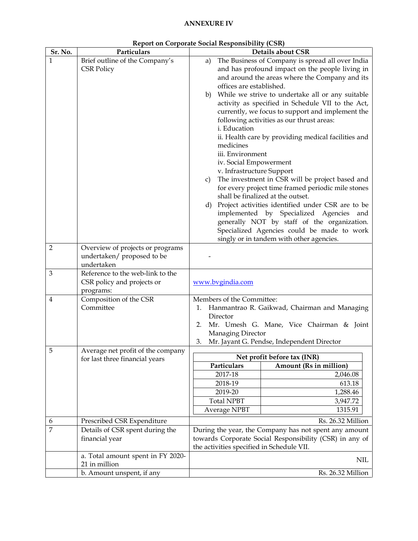# **ANNEXURE IV**

| Sr. No.        | Particulars                         | <b>Details about CSR</b> |                           |                                                         |  |  |
|----------------|-------------------------------------|--------------------------|---------------------------|---------------------------------------------------------|--|--|
| 1              | Brief outline of the Company's      | a)                       |                           | The Business of Company is spread all over India        |  |  |
|                | <b>CSR Policy</b>                   |                          |                           | and has profound impact on the people living in         |  |  |
|                |                                     |                          |                           | and around the areas where the Company and its          |  |  |
|                |                                     |                          | offices are established.  |                                                         |  |  |
|                |                                     | b)                       |                           | While we strive to undertake all or any suitable        |  |  |
|                |                                     |                          |                           | activity as specified in Schedule VII to the Act,       |  |  |
|                |                                     |                          |                           | currently, we focus to support and implement the        |  |  |
|                |                                     |                          |                           | following activities as our thrust areas:               |  |  |
|                |                                     |                          | i. Education              |                                                         |  |  |
|                |                                     |                          |                           | ii. Health care by providing medical facilities and     |  |  |
|                |                                     | medicines                |                           |                                                         |  |  |
|                |                                     |                          | iii. Environment          |                                                         |  |  |
|                |                                     |                          | iv. Social Empowerment    |                                                         |  |  |
|                |                                     |                          | v. Infrastructure Support | The investment in CSR will be project based and         |  |  |
|                |                                     | c)                       |                           | for every project time framed periodic mile stones      |  |  |
|                |                                     |                          |                           | shall be finalized at the outset.                       |  |  |
|                |                                     | d)                       |                           | Project activities identified under CSR are to be       |  |  |
|                |                                     |                          |                           | implemented by Specialized Agencies and                 |  |  |
|                |                                     |                          |                           | generally NOT by staff of the organization.             |  |  |
|                |                                     |                          |                           | Specialized Agencies could be made to work              |  |  |
|                |                                     |                          |                           | singly or in tandem with other agencies.                |  |  |
| 2              | Overview of projects or programs    |                          |                           |                                                         |  |  |
|                | undertaken/ proposed to be          |                          |                           |                                                         |  |  |
|                | undertaken                          |                          |                           |                                                         |  |  |
| $\mathfrak{B}$ | Reference to the web-link to the    |                          |                           |                                                         |  |  |
|                | CSR policy and projects or          |                          | www.bvgindia.com          |                                                         |  |  |
| $\overline{4}$ | programs:<br>Composition of the CSR |                          | Members of the Committee: |                                                         |  |  |
|                | Committee                           | 1.                       |                           | Hanmantrao R. Gaikwad, Chairman and Managing            |  |  |
|                |                                     |                          | Director                  |                                                         |  |  |
|                |                                     | 2.                       |                           | Mr. Umesh G. Mane, Vice Chairman & Joint                |  |  |
|                |                                     |                          | Managing Director         |                                                         |  |  |
|                |                                     | 3.                       |                           | Mr. Jayant G. Pendse, Independent Director              |  |  |
| 5              | Average net profit of the company   |                          |                           |                                                         |  |  |
|                | for last three financial years      |                          | Particulars               | Net profit before tax (INR)<br>Amount (Rs in million)   |  |  |
|                |                                     |                          | 2017-18                   | 2,046.08                                                |  |  |
|                |                                     |                          | 2018-19                   | 613.18                                                  |  |  |
|                |                                     |                          | 2019-20                   | 1,288.46                                                |  |  |
|                |                                     |                          | <b>Total NPBT</b>         | 3,947.72                                                |  |  |
|                |                                     |                          | Average NPBT              | 1315.91                                                 |  |  |
| 6              | Prescribed CSR Expenditure          |                          |                           | Rs. 26.32 Million                                       |  |  |
| $\overline{7}$ | Details of CSR spent during the     |                          |                           | During the year, the Company has not spent any amount   |  |  |
|                | financial year                      |                          |                           | towards Corporate Social Responsibility (CSR) in any of |  |  |
|                |                                     |                          |                           | the activities specified in Schedule VII.               |  |  |
|                | a. Total amount spent in FY 2020-   |                          |                           |                                                         |  |  |
|                | 21 in million                       |                          |                           | <b>NIL</b>                                              |  |  |
|                | b. Amount unspent, if any           |                          |                           | Rs. 26.32 Million                                       |  |  |

|  | <b>Report on Corporate Social Responsibility (CSR)</b> |  |
|--|--------------------------------------------------------|--|
|  |                                                        |  |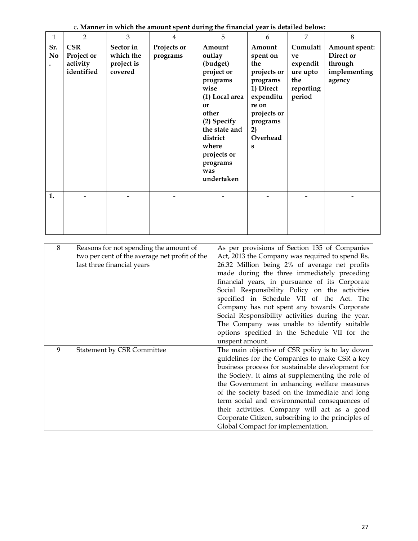| $\mathbf{1}$                                                                                                                                                                                                                                                                                                                                                                                                                                                                                                                                                                                                                                                                                               | $\overline{2}$                                     | 3                                               | 4                       |                                                                                                                                                                                                      | 5 | 6                                                                                                                                         | $\overline{7}$                                                                                                                                                                                                                                                                                                                                                                                                | 8                                                               |
|------------------------------------------------------------------------------------------------------------------------------------------------------------------------------------------------------------------------------------------------------------------------------------------------------------------------------------------------------------------------------------------------------------------------------------------------------------------------------------------------------------------------------------------------------------------------------------------------------------------------------------------------------------------------------------------------------------|----------------------------------------------------|-------------------------------------------------|-------------------------|------------------------------------------------------------------------------------------------------------------------------------------------------------------------------------------------------|---|-------------------------------------------------------------------------------------------------------------------------------------------|---------------------------------------------------------------------------------------------------------------------------------------------------------------------------------------------------------------------------------------------------------------------------------------------------------------------------------------------------------------------------------------------------------------|-----------------------------------------------------------------|
| Sr.<br>No                                                                                                                                                                                                                                                                                                                                                                                                                                                                                                                                                                                                                                                                                                  | <b>CSR</b><br>Project or<br>activity<br>identified | Sector in<br>which the<br>project is<br>covered | Projects or<br>programs | Amount<br>outlay<br>(budget)<br>project or<br>programs<br>wise<br>(1) Local area<br>or<br>other<br>(2) Specify<br>the state and<br>district<br>where<br>projects or<br>programs<br>was<br>undertaken |   | Amount<br>spent on<br>the<br>projects or<br>programs<br>1) Direct<br>expenditu<br>re on<br>projects or<br>programs<br>2)<br>Overhead<br>S | Cumulati<br>ve<br>expendit<br>ure upto<br>the<br>reporting<br>period                                                                                                                                                                                                                                                                                                                                          | Amount spent:<br>Direct or<br>through<br>implementing<br>agency |
| 1.                                                                                                                                                                                                                                                                                                                                                                                                                                                                                                                                                                                                                                                                                                         |                                                    |                                                 |                         |                                                                                                                                                                                                      |   |                                                                                                                                           |                                                                                                                                                                                                                                                                                                                                                                                                               |                                                                 |
| $8\,$<br>As per provisions of Section 135 of Companies<br>Reasons for not spending the amount of<br>two per cent of the average net profit of the<br>Act, 2013 the Company was required to spend Rs.<br>26.32 Million being 2% of average net profits<br>last three financial years<br>made during the three immediately preceding<br>financial years, in pursuance of its Corporate<br>Social Responsibility Policy on the activities<br>specified in Schedule VII of the Act. The<br>Company has not spent any towards Corporate<br>Social Responsibility activities during the year.<br>The Company was unable to identify suitable<br>options specified in the Schedule VII for the<br>unspent amount. |                                                    |                                                 |                         |                                                                                                                                                                                                      |   |                                                                                                                                           |                                                                                                                                                                                                                                                                                                                                                                                                               |                                                                 |
| 9                                                                                                                                                                                                                                                                                                                                                                                                                                                                                                                                                                                                                                                                                                          | <b>Statement by CSR Committee</b>                  |                                                 |                         |                                                                                                                                                                                                      |   |                                                                                                                                           | The main objective of CSR policy is to lay down<br>guidelines for the Companies to make CSR a key<br>business process for sustainable development for<br>the Society. It aims at supplementing the role of<br>the Government in enhancing welfare measures<br>of the society based on the immediate and long<br>term social and environmental consequences of<br>their activities. Company will act as a good |                                                                 |

c**. Manner in which the amount spent during the financial year is detailed below:**

Corporate Citizen, subscribing to the principles of

Global Compact for implementation.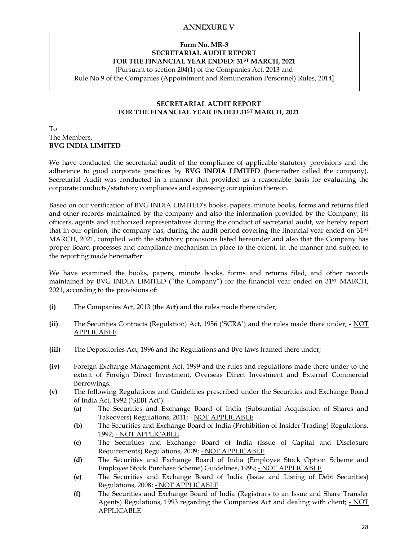# **Form No. MR-3 SECRETARIAL AUDIT REPORT FOR THE FINANCIAL YEAR ENDED: 31ST MARCH, 2021**

[Pursuant to section 204(1) of the Companies Act, 2013 and

Rule No.9 of the Companies (Appointment and Remuneration Personnel) Rules, 2014]

# **SECRETARIAL AUDIT REPORT FOR THE FINANCIAL YEAR ENDED 31ST MARCH, 2021**

#### To The Members, **BVG INDIA LIMITED**

We have conducted the secretarial audit of the compliance of applicable statutory provisions and the adherence to good corporate practices by **BVG INDIA LIMITED** (hereinafter called the company). Secretarial Audit was conducted in a manner that provided us a reasonable basis for evaluating the corporate conducts/statutory compliances and expressing our opinion thereon.

Based on our verification of BVG INDIA LIMITED's books, papers, minute books, forms and returns filed and other records maintained by the company and also the information provided by the Company, its officers, agents and authorized representatives during the conduct of secretarial audit, we hereby report that in our opinion, the company has, during the audit period covering the financial year ended on 31<sup>ST</sup> MARCH, 2021, complied with the statutory provisions listed hereunder and also that the Company has proper Board-processes and compliance-mechanism in place to the extent, in the manner and subject to the reporting made hereinafter:

We have examined the books, papers, minute books, forms and returns filed, and other records maintained by BVG INDIA LIMITED ("the Company") for the financial year ended on 31<sup>ST</sup> MARCH, 2021, according to the provisions of:

- **(i)** The Companies Act, 2013 (the Act) and the rules made there under;
- **(ii)** The Securities Contracts (Regulation) Act, 1956 ('SCRA') and the rules made there under; NOT APPLICABLE
- **(iii)** The Depositories Act, 1996 and the Regulations and Bye-laws framed there under;
- **(iv)** Foreign Exchange Management Act, 1999 and the rules and regulations made there under to the extent of Foreign Direct Investment, Overseas Direct Investment and External Commercial Borrowings.
- **(v)** The following Regulations and Guidelines prescribed under the Securities and Exchange Board of India Act, 1992 ('SEBI Act'): -
	- **(a)** The Securities and Exchange Board of India (Substantial Acquisition of Shares and Takeovers) Regulations, 2011; - NOT APPLICABLE
	- **(b)** The Securities and Exchange Board of India (Prohibition of Insider Trading) Regulations, 1992; - NOT APPLICABLE
	- **(c)** The Securities and Exchange Board of India (Issue of Capital and Disclosure Requirements) Regulations, 2009; - NOT APPLICABLE
	- **(d)** The Securities and Exchange Board of India (Employee Stock Option Scheme and Employee Stock Purchase Scheme) Guidelines, 1999; - NOT APPLICABLE
	- **(e)** The Securities and Exchange Board of India (Issue and Listing of Debt Securities) Regulations, 2008; - NOT APPLICABLE
	- **(f)** The Securities and Exchange Board of India (Registrars to an Issue and Share Transfer Agents) Regulations, 1993 regarding the Companies Act and dealing with client; - NOT APPLICABLE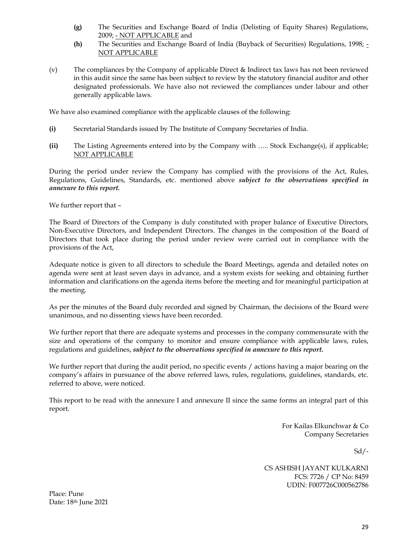- **(g)** The Securities and Exchange Board of India (Delisting of Equity Shares) Regulations, 2009; - NOT APPLICABLE and
- **(h)** The Securities and Exchange Board of India (Buyback of Securities) Regulations, 1998; NOT APPLICABLE
- (v) The compliances by the Company of applicable Direct & Indirect tax laws has not been reviewed in this audit since the same has been subject to review by the statutory financial auditor and other designated professionals. We have also not reviewed the compliances under labour and other generally applicable laws.

We have also examined compliance with the applicable clauses of the following:

- **(i)** Secretarial Standards issued by The Institute of Company Secretaries of India.
- **(ii)** The Listing Agreements entered into by the Company with ….. Stock Exchange(s), if applicable; NOT APPLICABLE

During the period under review the Company has complied with the provisions of the Act, Rules, Regulations, Guidelines, Standards, etc. mentioned above *subject to the observations specified in annexure to this report.* 

We further report that –

The Board of Directors of the Company is duly constituted with proper balance of Executive Directors, Non-Executive Directors, and Independent Directors. The changes in the composition of the Board of Directors that took place during the period under review were carried out in compliance with the provisions of the Act,

Adequate notice is given to all directors to schedule the Board Meetings, agenda and detailed notes on agenda were sent at least seven days in advance, and a system exists for seeking and obtaining further information and clarifications on the agenda items before the meeting and for meaningful participation at the meeting.

As per the minutes of the Board duly recorded and signed by Chairman, the decisions of the Board were unanimous, and no dissenting views have been recorded.

We further report that there are adequate systems and processes in the company commensurate with the size and operations of the company to monitor and ensure compliance with applicable laws, rules, regulations and guidelines, *subject to the observations specified in annexure to this report.* 

We further report that during the audit period, no specific events / actions having a major bearing on the company's affairs in pursuance of the above referred laws, rules, regulations, guidelines, standards, etc. referred to above, were noticed.

This report to be read with the annexure I and annexure II since the same forms an integral part of this report.

> For Kailas Elkunchwar & Co Company Secretaries

> > $Sd$  /-

CS ASHISH JAYANT KULKARNI FCS: 7726 / CP No: 8459 UDIN: F007726C000562786

Place: Pune Date: 18<sup>th</sup> June 2021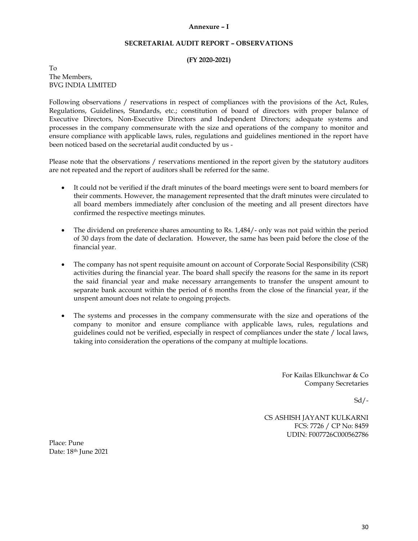#### **Annexure – I**

#### **SECRETARIAL AUDIT REPORT – OBSERVATIONS**

#### **(FY 2020-2021)**

To The Members, BVG INDIA LIMITED

Following observations / reservations in respect of compliances with the provisions of the Act, Rules, Regulations, Guidelines, Standards, etc.; constitution of board of directors with proper balance of Executive Directors, Non-Executive Directors and Independent Directors; adequate systems and processes in the company commensurate with the size and operations of the company to monitor and ensure compliance with applicable laws, rules, regulations and guidelines mentioned in the report have been noticed based on the secretarial audit conducted by us -

Please note that the observations / reservations mentioned in the report given by the statutory auditors are not repeated and the report of auditors shall be referred for the same.

- It could not be verified if the draft minutes of the board meetings were sent to board members for their comments. However, the management represented that the draft minutes were circulated to all board members immediately after conclusion of the meeting and all present directors have confirmed the respective meetings minutes.
- The dividend on preference shares amounting to Rs. 1,484/- only was not paid within the period of 30 days from the date of declaration. However, the same has been paid before the close of the financial year.
- The company has not spent requisite amount on account of Corporate Social Responsibility (CSR) activities during the financial year. The board shall specify the reasons for the same in its report the said financial year and make necessary arrangements to transfer the unspent amount to separate bank account within the period of 6 months from the close of the financial year, if the unspent amount does not relate to ongoing projects.
- The systems and processes in the company commensurate with the size and operations of the company to monitor and ensure compliance with applicable laws, rules, regulations and guidelines could not be verified, especially in respect of compliances under the state / local laws, taking into consideration the operations of the company at multiple locations.

For Kailas Elkunchwar & Co Company Secretaries

 $Sd$  /-

CS ASHISH JAYANT KULKARNI FCS: 7726 / CP No: 8459 UDIN: F007726C000562786

Place: Pune Date: 18<sup>th</sup> June 2021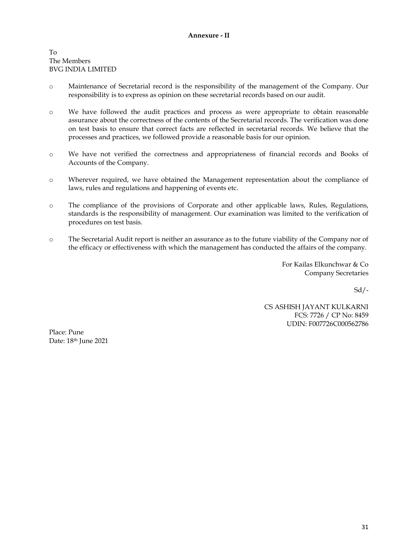To The Members BVG INDIA LIMITED

- o Maintenance of Secretarial record is the responsibility of the management of the Company. Our responsibility is to express as opinion on these secretarial records based on our audit.
- o We have followed the audit practices and process as were appropriate to obtain reasonable assurance about the correctness of the contents of the Secretarial records. The verification was done on test basis to ensure that correct facts are reflected in secretarial records. We believe that the processes and practices, we followed provide a reasonable basis for our opinion.
- o We have not verified the correctness and appropriateness of financial records and Books of Accounts of the Company.
- o Wherever required, we have obtained the Management representation about the compliance of laws, rules and regulations and happening of events etc.
- o The compliance of the provisions of Corporate and other applicable laws, Rules, Regulations, standards is the responsibility of management. Our examination was limited to the verification of procedures on test basis.
- o The Secretarial Audit report is neither an assurance as to the future viability of the Company nor of the efficacy or effectiveness with which the management has conducted the affairs of the company.

For Kailas Elkunchwar & Co Company Secretaries

 $Sd$  /-

CS ASHISH JAYANT KULKARNI FCS: 7726 / CP No: 8459 UDIN: F007726C000562786

Place: Pune Date: 18<sup>th</sup> June 2021